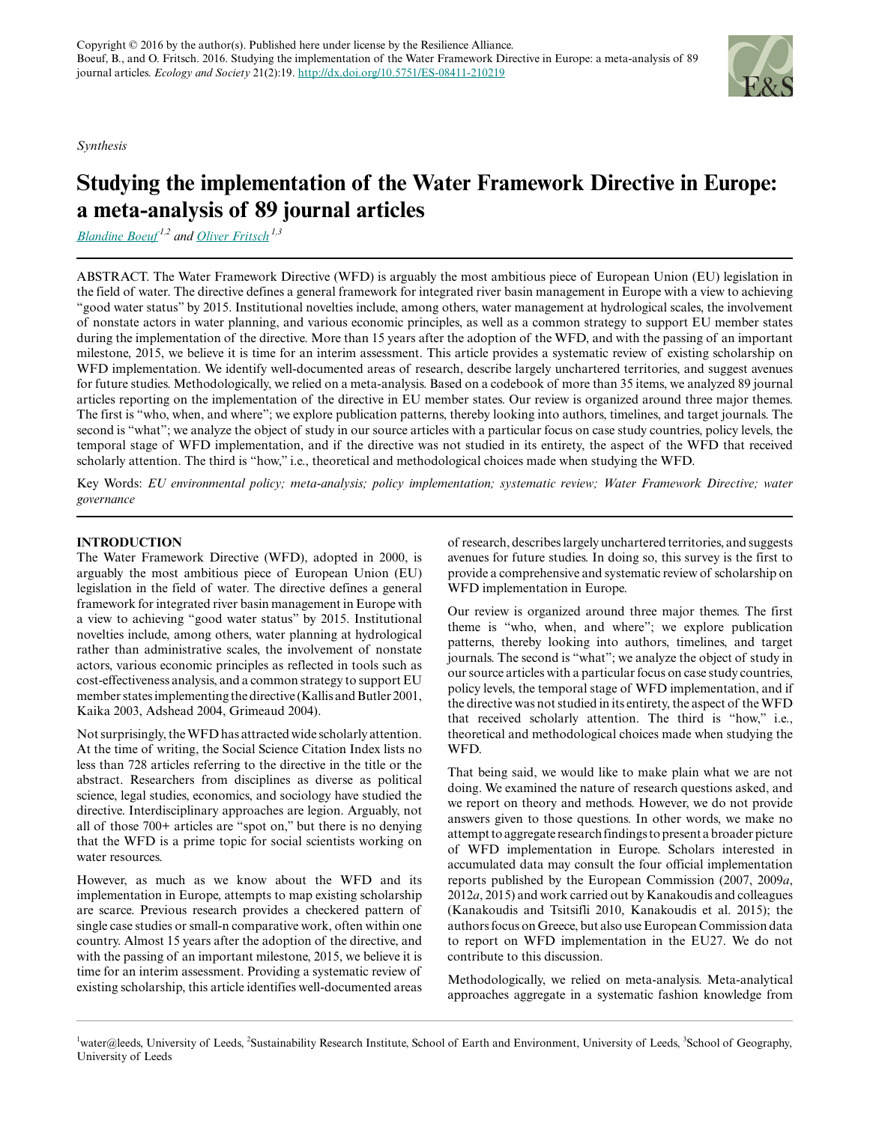*Synthesis*

# **Studying the implementation of the Water Framework Directive in Europe: a meta-analysis of 89 journal articles**

*[Blandine Boeuf](mailto:eebgb@leeds.ac.uk) 1,2 and [Oliver Fritsch](mailto:o.fritsch@leeds.ac.uk) 1,3*

ABSTRACT. The Water Framework Directive (WFD) is arguably the most ambitious piece of European Union (EU) legislation in the field of water. The directive defines a general framework for integrated river basin management in Europe with a view to achieving "good water status" by 2015. Institutional novelties include, among others, water management at hydrological scales, the involvement of nonstate actors in water planning, and various economic principles, as well as a common strategy to support EU member states during the implementation of the directive. More than 15 years after the adoption of the WFD, and with the passing of an important milestone, 2015, we believe it is time for an interim assessment. This article provides a systematic review of existing scholarship on WFD implementation. We identify well-documented areas of research, describe largely unchartered territories, and suggest avenues for future studies. Methodologically, we relied on a meta-analysis. Based on a codebook of more than 35 items, we analyzed 89 journal articles reporting on the implementation of the directive in EU member states. Our review is organized around three major themes. The first is "who, when, and where"; we explore publication patterns, thereby looking into authors, timelines, and target journals. The second is "what"; we analyze the object of study in our source articles with a particular focus on case study countries, policy levels, the temporal stage of WFD implementation, and if the directive was not studied in its entirety, the aspect of the WFD that received scholarly attention. The third is "how," i.e., theoretical and methodological choices made when studying the WFD.

Key Words: *EU environmental policy; meta-analysis; policy implementation; systematic review; Water Framework Directive; water governance*

# **INTRODUCTION**

The Water Framework Directive (WFD), adopted in 2000, is arguably the most ambitious piece of European Union (EU) legislation in the field of water. The directive defines a general framework for integrated river basin management in Europe with a view to achieving "good water status" by 2015. Institutional novelties include, among others, water planning at hydrological rather than administrative scales, the involvement of nonstate actors, various economic principles as reflected in tools such as cost-effectiveness analysis, and a common strategy to support EU member states implementing the directive (Kallis and Butler 2001, Kaika 2003, Adshead 2004, Grimeaud 2004).

Not surprisingly, the WFD has attracted wide scholarly attention. At the time of writing, the Social Science Citation Index lists no less than 728 articles referring to the directive in the title or the abstract. Researchers from disciplines as diverse as political science, legal studies, economics, and sociology have studied the directive. Interdisciplinary approaches are legion. Arguably, not all of those 700+ articles are "spot on," but there is no denying that the WFD is a prime topic for social scientists working on water resources.

However, as much as we know about the WFD and its implementation in Europe, attempts to map existing scholarship are scarce. Previous research provides a checkered pattern of single case studies or small-n comparative work, often within one country. Almost 15 years after the adoption of the directive, and with the passing of an important milestone, 2015, we believe it is time for an interim assessment. Providing a systematic review of existing scholarship, this article identifies well-documented areas of research, describes largely unchartered territories, and suggests avenues for future studies. In doing so, this survey is the first to provide a comprehensive and systematic review of scholarship on WFD implementation in Europe.

Our review is organized around three major themes. The first theme is "who, when, and where"; we explore publication patterns, thereby looking into authors, timelines, and target journals. The second is "what"; we analyze the object of study in our source articles with a particular focus on case study countries, policy levels, the temporal stage of WFD implementation, and if the directive was not studied in its entirety, the aspect of the WFD that received scholarly attention. The third is "how," i.e., theoretical and methodological choices made when studying the WFD.

That being said, we would like to make plain what we are not doing. We examined the nature of research questions asked, and we report on theory and methods. However, we do not provide answers given to those questions. In other words, we make no attempt to aggregate research findings to present a broader picture of WFD implementation in Europe. Scholars interested in accumulated data may consult the four official implementation reports published by the European Commission (2007, 2009*a*, 2012*a*, 2015) and work carried out by Kanakoudis and colleagues (Kanakoudis and Tsitsifli 2010, Kanakoudis et al. 2015); the authors focus on Greece, but also use European Commission data to report on WFD implementation in the EU27. We do not contribute to this discussion.

Methodologically, we relied on meta-analysis. Meta-analytical approaches aggregate in a systematic fashion knowledge from



<sup>&</sup>lt;sup>1</sup>water@leeds, University of Leeds, <sup>2</sup>Sustainability Research Institute, School of Earth and Environment, University of Leeds, <sup>3</sup>School of Geography, University of Leeds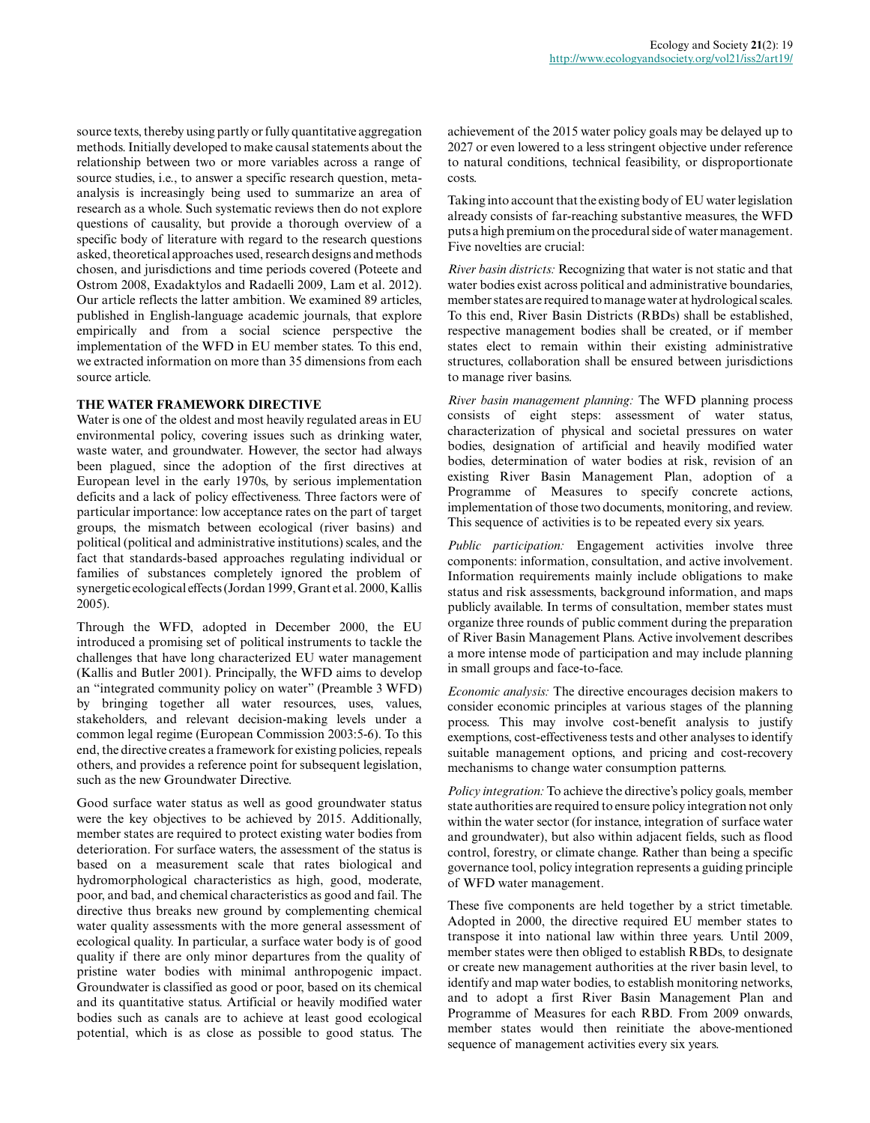source texts, thereby using partly or fully quantitative aggregation methods. Initially developed to make causal statements about the relationship between two or more variables across a range of source studies, i.e., to answer a specific research question, metaanalysis is increasingly being used to summarize an area of research as a whole. Such systematic reviews then do not explore questions of causality, but provide a thorough overview of a specific body of literature with regard to the research questions asked, theoretical approaches used, research designs and methods chosen, and jurisdictions and time periods covered (Poteete and Ostrom 2008, Exadaktylos and Radaelli 2009, Lam et al. 2012). Our article reflects the latter ambition. We examined 89 articles, published in English-language academic journals, that explore empirically and from a social science perspective the implementation of the WFD in EU member states. To this end, we extracted information on more than 35 dimensions from each source article.

### **THE WATER FRAMEWORK DIRECTIVE**

Water is one of the oldest and most heavily regulated areas in EU environmental policy, covering issues such as drinking water, waste water, and groundwater. However, the sector had always been plagued, since the adoption of the first directives at European level in the early 1970s, by serious implementation deficits and a lack of policy effectiveness. Three factors were of particular importance: low acceptance rates on the part of target groups, the mismatch between ecological (river basins) and political (political and administrative institutions) scales, and the fact that standards-based approaches regulating individual or families of substances completely ignored the problem of synergetic ecological effects (Jordan 1999, Grant et al. 2000, Kallis 2005).

Through the WFD, adopted in December 2000, the EU introduced a promising set of political instruments to tackle the challenges that have long characterized EU water management (Kallis and Butler 2001). Principally, the WFD aims to develop an "integrated community policy on water" (Preamble 3 WFD) by bringing together all water resources, uses, values, stakeholders, and relevant decision-making levels under a common legal regime (European Commission 2003:5-6). To this end, the directive creates a framework for existing policies, repeals others, and provides a reference point for subsequent legislation, such as the new Groundwater Directive.

Good surface water status as well as good groundwater status were the key objectives to be achieved by 2015. Additionally, member states are required to protect existing water bodies from deterioration. For surface waters, the assessment of the status is based on a measurement scale that rates biological and hydromorphological characteristics as high, good, moderate, poor, and bad, and chemical characteristics as good and fail. The directive thus breaks new ground by complementing chemical water quality assessments with the more general assessment of ecological quality. In particular, a surface water body is of good quality if there are only minor departures from the quality of pristine water bodies with minimal anthropogenic impact. Groundwater is classified as good or poor, based on its chemical and its quantitative status. Artificial or heavily modified water bodies such as canals are to achieve at least good ecological potential, which is as close as possible to good status. The

achievement of the 2015 water policy goals may be delayed up to 2027 or even lowered to a less stringent objective under reference to natural conditions, technical feasibility, or disproportionate costs.

Taking into account that the existing body of EU water legislation already consists of far-reaching substantive measures, the WFD puts a high premium on the procedural side of water management. Five novelties are crucial:

*River basin districts:* Recognizing that water is not static and that water bodies exist across political and administrative boundaries, member states are required to manage water at hydrological scales. To this end, River Basin Districts (RBDs) shall be established, respective management bodies shall be created, or if member states elect to remain within their existing administrative structures, collaboration shall be ensured between jurisdictions to manage river basins.

*River basin management planning:* The WFD planning process consists of eight steps: assessment of water status, characterization of physical and societal pressures on water bodies, designation of artificial and heavily modified water bodies, determination of water bodies at risk, revision of an existing River Basin Management Plan, adoption of a Programme of Measures to specify concrete actions, implementation of those two documents, monitoring, and review. This sequence of activities is to be repeated every six years.

*Public participation:* Engagement activities involve three components: information, consultation, and active involvement. Information requirements mainly include obligations to make status and risk assessments, background information, and maps publicly available. In terms of consultation, member states must organize three rounds of public comment during the preparation of River Basin Management Plans. Active involvement describes a more intense mode of participation and may include planning in small groups and face-to-face.

*Economic analysis:* The directive encourages decision makers to consider economic principles at various stages of the planning process. This may involve cost-benefit analysis to justify exemptions, cost-effectiveness tests and other analyses to identify suitable management options, and pricing and cost-recovery mechanisms to change water consumption patterns.

*Policy integration:* To achieve the directive's policy goals, member state authorities are required to ensure policy integration not only within the water sector (for instance, integration of surface water and groundwater), but also within adjacent fields, such as flood control, forestry, or climate change. Rather than being a specific governance tool, policy integration represents a guiding principle of WFD water management.

These five components are held together by a strict timetable. Adopted in 2000, the directive required EU member states to transpose it into national law within three years. Until 2009, member states were then obliged to establish RBDs, to designate or create new management authorities at the river basin level, to identify and map water bodies, to establish monitoring networks, and to adopt a first River Basin Management Plan and Programme of Measures for each RBD. From 2009 onwards, member states would then reinitiate the above-mentioned sequence of management activities every six years.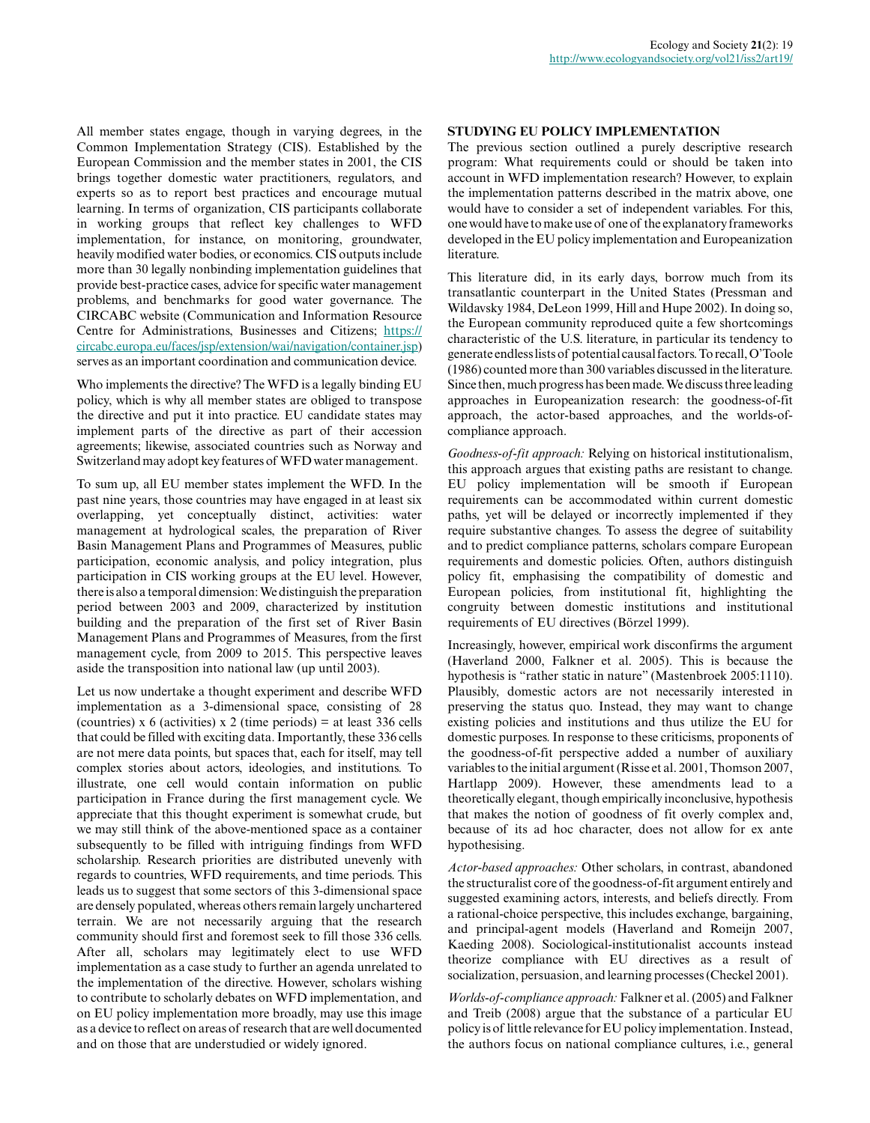All member states engage, though in varying degrees, in the Common Implementation Strategy (CIS). Established by the European Commission and the member states in 2001, the CIS brings together domestic water practitioners, regulators, and experts so as to report best practices and encourage mutual learning. In terms of organization, CIS participants collaborate in working groups that reflect key challenges to WFD implementation, for instance, on monitoring, groundwater, heavily modified water bodies, or economics. CIS outputs include more than 30 legally nonbinding implementation guidelines that provide best-practice cases, advice for specific water management problems, and benchmarks for good water governance. The CIRCABC website (Communication and Information Resource Centre for Administrations, Businesses and Citizens; [https://](https://circabc.europa.eu/faces/jsp/extension/wai/navigation/container.jsp) [circabc.europa.eu/faces/jsp/extension/wai/navigation/container.jsp](https://circabc.europa.eu/faces/jsp/extension/wai/navigation/container.jsp)) serves as an important coordination and communication device.

Who implements the directive? The WFD is a legally binding EU policy, which is why all member states are obliged to transpose the directive and put it into practice. EU candidate states may implement parts of the directive as part of their accession agreements; likewise, associated countries such as Norway and Switzerland may adopt key features of WFD water management.

To sum up, all EU member states implement the WFD. In the past nine years, those countries may have engaged in at least six overlapping, yet conceptually distinct, activities: water management at hydrological scales, the preparation of River Basin Management Plans and Programmes of Measures, public participation, economic analysis, and policy integration, plus participation in CIS working groups at the EU level. However, there is also a temporal dimension: We distinguish the preparation period between 2003 and 2009, characterized by institution building and the preparation of the first set of River Basin Management Plans and Programmes of Measures, from the first management cycle, from 2009 to 2015. This perspective leaves aside the transposition into national law (up until 2003).

Let us now undertake a thought experiment and describe WFD implementation as a 3-dimensional space, consisting of 28 (countries) x 6 (activities) x 2 (time periods) = at least 336 cells that could be filled with exciting data. Importantly, these 336 cells are not mere data points, but spaces that, each for itself, may tell complex stories about actors, ideologies, and institutions. To illustrate, one cell would contain information on public participation in France during the first management cycle. We appreciate that this thought experiment is somewhat crude, but we may still think of the above-mentioned space as a container subsequently to be filled with intriguing findings from WFD scholarship. Research priorities are distributed unevenly with regards to countries, WFD requirements, and time periods. This leads us to suggest that some sectors of this 3-dimensional space are densely populated, whereas others remain largely unchartered terrain. We are not necessarily arguing that the research community should first and foremost seek to fill those 336 cells. After all, scholars may legitimately elect to use WFD implementation as a case study to further an agenda unrelated to the implementation of the directive. However, scholars wishing to contribute to scholarly debates on WFD implementation, and on EU policy implementation more broadly, may use this image as a device to reflect on areas of research that are well documented and on those that are understudied or widely ignored.

# **STUDYING EU POLICY IMPLEMENTATION**

The previous section outlined a purely descriptive research program: What requirements could or should be taken into account in WFD implementation research? However, to explain the implementation patterns described in the matrix above, one would have to consider a set of independent variables. For this, one would have to make use of one of the explanatory frameworks developed in the EU policy implementation and Europeanization literature.

This literature did, in its early days, borrow much from its transatlantic counterpart in the United States (Pressman and Wildavsky 1984, DeLeon 1999, Hill and Hupe 2002). In doing so, the European community reproduced quite a few shortcomings characteristic of the U.S. literature, in particular its tendency to generate endless lists of potential causal factors. To recall, O'Toole (1986) counted more than 300 variables discussed in the literature. Since then, much progress has been made. We discuss three leading approaches in Europeanization research: the goodness-of-fit approach, the actor-based approaches, and the worlds-ofcompliance approach.

*Goodness-of-fit approach:* Relying on historical institutionalism, this approach argues that existing paths are resistant to change. EU policy implementation will be smooth if European requirements can be accommodated within current domestic paths, yet will be delayed or incorrectly implemented if they require substantive changes. To assess the degree of suitability and to predict compliance patterns, scholars compare European requirements and domestic policies. Often, authors distinguish policy fit, emphasising the compatibility of domestic and European policies, from institutional fit, highlighting the congruity between domestic institutions and institutional requirements of EU directives (Börzel 1999).

Increasingly, however, empirical work disconfirms the argument (Haverland 2000, Falkner et al. 2005). This is because the hypothesis is "rather static in nature" (Mastenbroek 2005:1110). Plausibly, domestic actors are not necessarily interested in preserving the status quo. Instead, they may want to change existing policies and institutions and thus utilize the EU for domestic purposes. In response to these criticisms, proponents of the goodness-of-fit perspective added a number of auxiliary variables to the initial argument (Risse et al. 2001, Thomson 2007, Hartlapp 2009). However, these amendments lead to a theoretically elegant, though empirically inconclusive, hypothesis that makes the notion of goodness of fit overly complex and, because of its ad hoc character, does not allow for ex ante hypothesising.

*Actor-based approaches:* Other scholars, in contrast, abandoned the structuralist core of the goodness-of-fit argument entirely and suggested examining actors, interests, and beliefs directly. From a rational-choice perspective, this includes exchange, bargaining, and principal-agent models (Haverland and Romeijn 2007, Kaeding 2008). Sociological-institutionalist accounts instead theorize compliance with EU directives as a result of socialization, persuasion, and learning processes (Checkel 2001).

*Worlds-of-compliance approach:* Falkner et al. (2005) and Falkner and Treib (2008) argue that the substance of a particular EU policy is of little relevance for EU policy implementation. Instead, the authors focus on national compliance cultures, i.e., general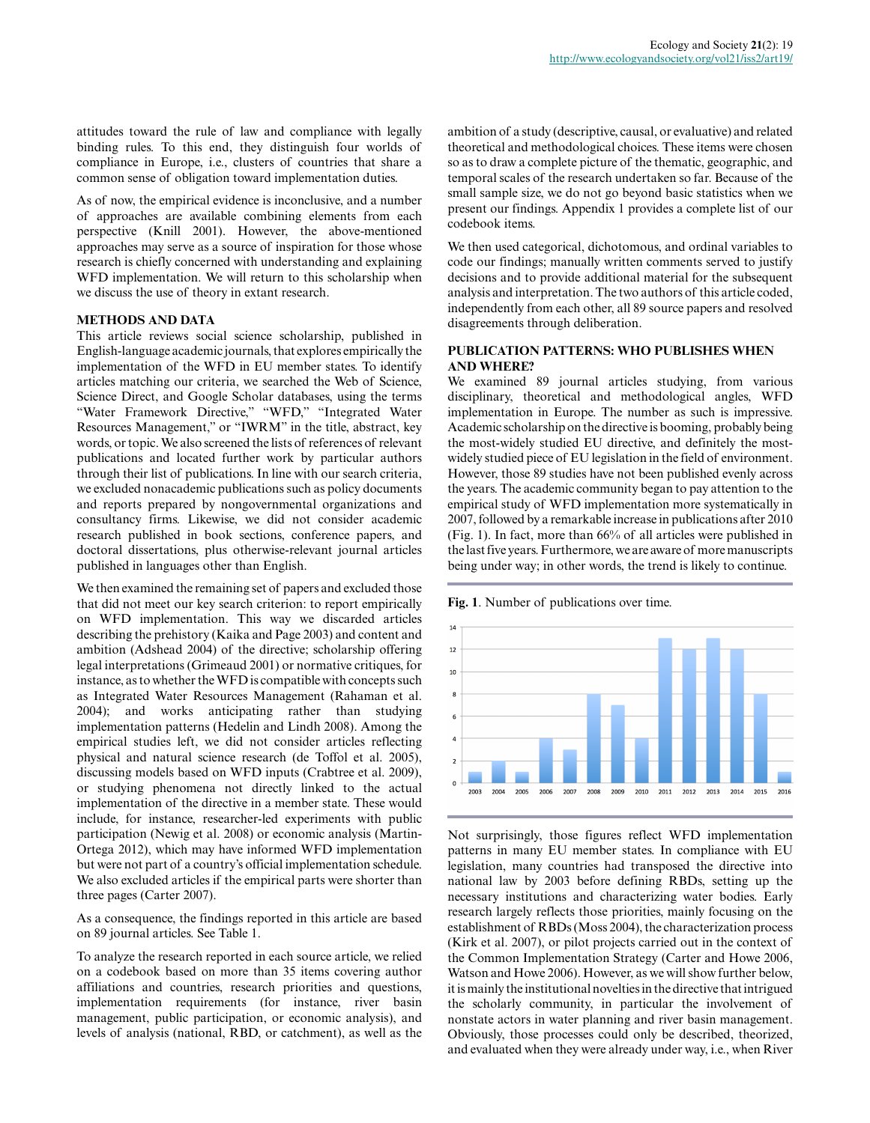attitudes toward the rule of law and compliance with legally binding rules. To this end, they distinguish four worlds of compliance in Europe, i.e., clusters of countries that share a common sense of obligation toward implementation duties.

As of now, the empirical evidence is inconclusive, and a number of approaches are available combining elements from each perspective (Knill 2001). However, the above-mentioned approaches may serve as a source of inspiration for those whose research is chiefly concerned with understanding and explaining WFD implementation. We will return to this scholarship when we discuss the use of theory in extant research.

# **METHODS AND DATA**

This article reviews social science scholarship, published in English-language academic journals, that explores empirically the implementation of the WFD in EU member states. To identify articles matching our criteria, we searched the Web of Science, Science Direct, and Google Scholar databases, using the terms "Water Framework Directive," "WFD," "Integrated Water Resources Management," or "IWRM" in the title, abstract, key words, or topic. We also screened the lists of references of relevant publications and located further work by particular authors through their list of publications. In line with our search criteria, we excluded nonacademic publications such as policy documents and reports prepared by nongovernmental organizations and consultancy firms. Likewise, we did not consider academic research published in book sections, conference papers, and doctoral dissertations, plus otherwise-relevant journal articles published in languages other than English.

We then examined the remaining set of papers and excluded those that did not meet our key search criterion: to report empirically on WFD implementation. This way we discarded articles describing the prehistory (Kaika and Page 2003) and content and ambition (Adshead 2004) of the directive; scholarship offering legal interpretations (Grimeaud 2001) or normative critiques, for instance, as to whether the WFD is compatible with concepts such as Integrated Water Resources Management (Rahaman et al. 2004); and works anticipating rather than studying implementation patterns (Hedelin and Lindh 2008). Among the empirical studies left, we did not consider articles reflecting physical and natural science research (de Toffol et al. 2005), discussing models based on WFD inputs (Crabtree et al. 2009), or studying phenomena not directly linked to the actual implementation of the directive in a member state. These would include, for instance, researcher-led experiments with public participation (Newig et al. 2008) or economic analysis (Martin-Ortega 2012), which may have informed WFD implementation but were not part of a country's official implementation schedule. We also excluded articles if the empirical parts were shorter than three pages (Carter 2007).

As a consequence, the findings reported in this article are based on 89 journal articles. See Table 1.

To analyze the research reported in each source article, we relied on a codebook based on more than 35 items covering author affiliations and countries, research priorities and questions, implementation requirements (for instance, river basin management, public participation, or economic analysis), and levels of analysis (national, RBD, or catchment), as well as the

ambition of a study (descriptive, causal, or evaluative) and related theoretical and methodological choices. These items were chosen so as to draw a complete picture of the thematic, geographic, and temporal scales of the research undertaken so far. Because of the small sample size, we do not go beyond basic statistics when we present our findings. Appendix 1 provides a complete list of our codebook items.

We then used categorical, dichotomous, and ordinal variables to code our findings; manually written comments served to justify decisions and to provide additional material for the subsequent analysis and interpretation. The two authors of this article coded, independently from each other, all 89 source papers and resolved disagreements through deliberation.

# **PUBLICATION PATTERNS: WHO PUBLISHES WHEN AND WHERE?**

We examined 89 journal articles studying, from various disciplinary, theoretical and methodological angles, WFD implementation in Europe. The number as such is impressive. Academic scholarship on the directive is booming, probably being the most-widely studied EU directive, and definitely the mostwidely studied piece of EU legislation in the field of environment. However, those 89 studies have not been published evenly across the years. The academic community began to pay attention to the empirical study of WFD implementation more systematically in 2007, followed by a remarkable increase in publications after 2010 (Fig. 1). In fact, more than 66% of all articles were published in the last five years. Furthermore, we are aware of more manuscripts being under way; in other words, the trend is likely to continue.

**Fig. 1**. Number of publications over time.



Not surprisingly, those figures reflect WFD implementation patterns in many EU member states. In compliance with EU legislation, many countries had transposed the directive into national law by 2003 before defining RBDs, setting up the necessary institutions and characterizing water bodies. Early research largely reflects those priorities, mainly focusing on the establishment of RBDs (Moss 2004), the characterization process (Kirk et al. 2007), or pilot projects carried out in the context of the Common Implementation Strategy (Carter and Howe 2006, Watson and Howe 2006). However, as we will show further below, it is mainly the institutional novelties in the directive that intrigued the scholarly community, in particular the involvement of nonstate actors in water planning and river basin management. Obviously, those processes could only be described, theorized, and evaluated when they were already under way, i.e., when River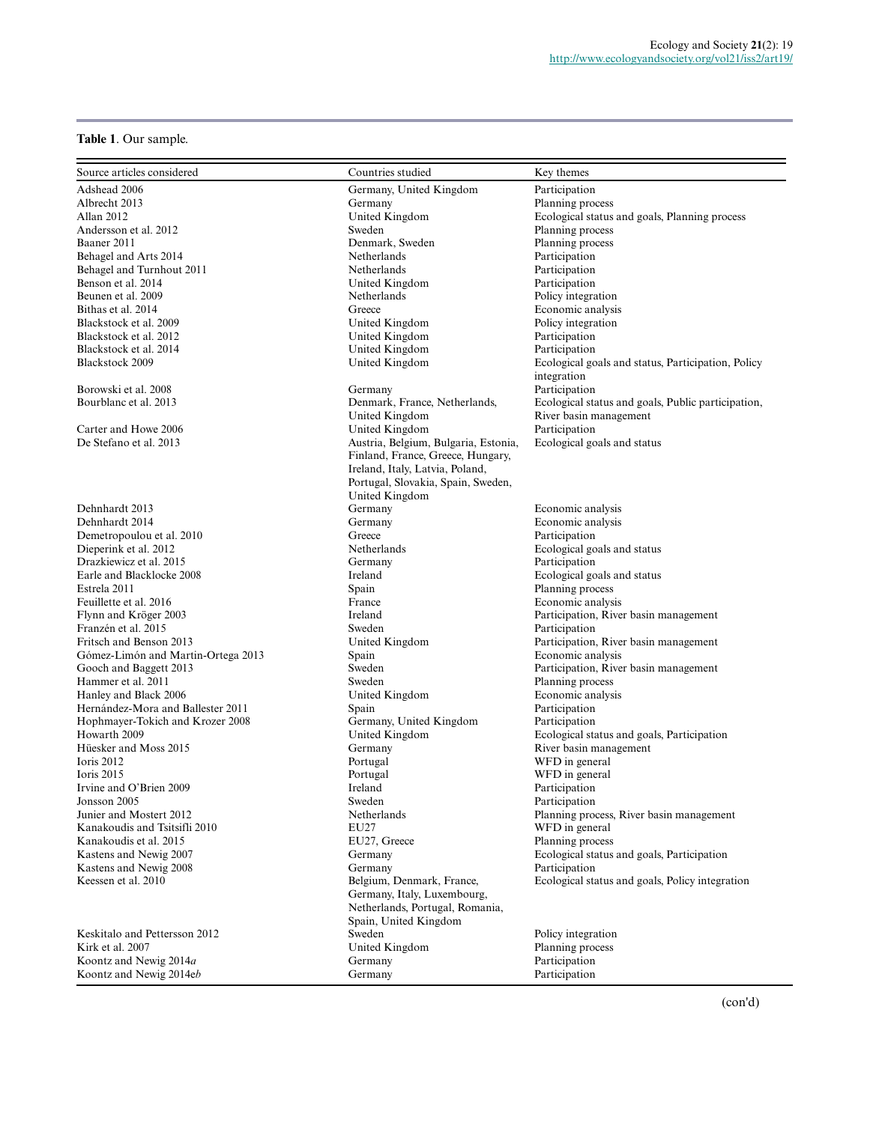# **Table 1**. Our sample.

| Source articles considered                       | Countries studied                    | Key themes                                         |
|--------------------------------------------------|--------------------------------------|----------------------------------------------------|
| Adshead 2006                                     | Germany, United Kingdom              | Participation                                      |
| Albrecht 2013                                    | Germany                              | Planning process                                   |
| Allan 2012                                       | United Kingdom                       | Ecological status and goals, Planning process      |
| Andersson et al. 2012                            | Sweden                               | Planning process                                   |
| Baaner 2011                                      | Denmark, Sweden                      | Planning process                                   |
| Behagel and Arts 2014                            | Netherlands                          | Participation                                      |
| Behagel and Turnhout 2011                        | Netherlands                          | Participation                                      |
| Benson et al. 2014                               | United Kingdom                       | Participation                                      |
| Beunen et al. 2009                               | Netherlands                          | Policy integration                                 |
| Bithas et al. 2014                               | Greece                               | Economic analysis                                  |
| Blackstock et al. 2009                           | United Kingdom                       | Policy integration                                 |
| Blackstock et al. 2012                           | United Kingdom                       | Participation                                      |
| Blackstock et al. 2014                           | United Kingdom                       | Participation                                      |
| Blackstock 2009                                  | United Kingdom                       | Ecological goals and status, Participation, Policy |
|                                                  |                                      | integration                                        |
| Borowski et al. 2008                             | Germany                              | Participation                                      |
| Bourblanc et al. 2013                            | Denmark, France, Netherlands,        | Ecological status and goals, Public participation, |
|                                                  | United Kingdom                       | River basin management                             |
| Carter and Howe 2006                             | United Kingdom                       | Participation                                      |
| De Stefano et al. 2013                           | Austria, Belgium, Bulgaria, Estonia, | Ecological goals and status                        |
|                                                  | Finland, France, Greece, Hungary,    |                                                    |
|                                                  | Ireland, Italy, Latvia, Poland,      |                                                    |
|                                                  | Portugal, Slovakia, Spain, Sweden,   |                                                    |
|                                                  | United Kingdom                       |                                                    |
| Dehnhardt 2013                                   | Germany                              | Economic analysis                                  |
| Dehnhardt 2014                                   | Germany<br>Greece                    | Economic analysis                                  |
| Demetropoulou et al. 2010                        | Netherlands                          | Participation<br>Ecological goals and status       |
| Dieperink et al. 2012<br>Drazkiewicz et al. 2015 |                                      | Participation                                      |
| Earle and Blacklocke 2008                        | Germany<br>Ireland                   | Ecological goals and status                        |
| Estrela 2011                                     | Spain                                | Planning process                                   |
| Feuillette et al. 2016                           | France                               | Economic analysis                                  |
| Flynn and Kröger 2003                            | Ireland                              | Participation, River basin management              |
| Franzén et al. 2015                              | Sweden                               | Participation                                      |
| Fritsch and Benson 2013                          | United Kingdom                       | Participation, River basin management              |
| Gómez-Limón and Martin-Ortega 2013               | Spain                                | Economic analysis                                  |
| Gooch and Baggett 2013                           | Sweden                               | Participation, River basin management              |
| Hammer et al. 2011                               | Sweden                               | Planning process                                   |
| Hanley and Black 2006                            | United Kingdom                       | Economic analysis                                  |
| Hernández-Mora and Ballester 2011                | Spain                                | Participation                                      |
| Hophmayer-Tokich and Krozer 2008                 | Germany, United Kingdom              | Participation                                      |
| Howarth 2009                                     | United Kingdom                       | Ecological status and goals, Participation         |
| Hüesker and Moss 2015                            | Germany                              | River basin management                             |
| Ioris $2012$                                     | Portugal                             | WFD in general                                     |
| <b>Ioris 2015</b>                                | Portugal                             | WFD in general                                     |
| Irvine and O'Brien 2009                          | Ireland                              | Participation                                      |
| Jonsson 2005                                     | Sweden                               | Participation                                      |
| Junier and Mostert 2012                          | Netherlands                          | Planning process, River basin management           |
| Kanakoudis and Tsitsifli 2010                    | <b>EU27</b>                          | WFD in general                                     |
| Kanakoudis et al. 2015                           | EU27, Greece                         | Planning process                                   |
| Kastens and Newig 2007                           | Germany                              | Ecological status and goals, Participation         |
| Kastens and Newig 2008                           | Germany                              | Participation                                      |
| Keessen et al. 2010                              | Belgium, Denmark, France,            | Ecological status and goals, Policy integration    |
|                                                  | Germany, Italy, Luxembourg,          |                                                    |
|                                                  | Netherlands, Portugal, Romania,      |                                                    |
|                                                  | Spain, United Kingdom                |                                                    |
| Keskitalo and Pettersson 2012                    | Sweden                               | Policy integration                                 |
| Kirk et al. 2007                                 | United Kingdom                       | Planning process                                   |
| Koontz and Newig 2014a                           | Germany                              | Participation                                      |

Koontz and Newig 2014eb **Germany** Germany **Participation**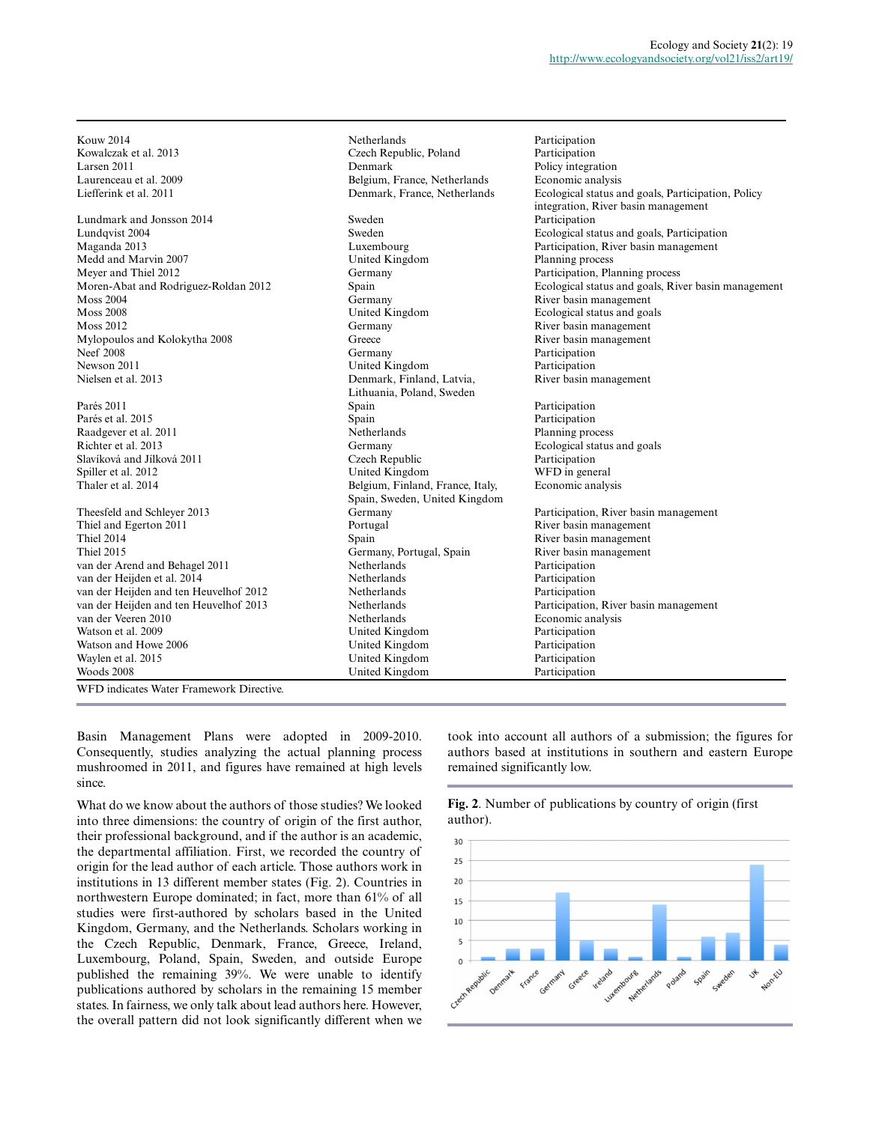| Kouw 2014                              | Netherlands                                                       | Participation                                                                             |
|----------------------------------------|-------------------------------------------------------------------|-------------------------------------------------------------------------------------------|
| Kowalczak et al. 2013                  | Czech Republic, Poland                                            | Participation                                                                             |
| Larsen 2011                            | Denmark                                                           | Policy integration                                                                        |
| Laurenceau et al. 2009                 | Belgium, France, Netherlands                                      | Economic analysis                                                                         |
| Liefferink et al. 2011                 | Denmark, France, Netherlands                                      | Ecological status and goals, Participation, Policy<br>integration, River basin management |
| Lundmark and Jonsson 2014              | Sweden                                                            | Participation                                                                             |
| Lundqvist 2004                         | Sweden                                                            | Ecological status and goals, Participation                                                |
| Maganda 2013                           | Luxembourg                                                        | Participation, River basin management                                                     |
| Medd and Marvin 2007                   | United Kingdom                                                    | Planning process                                                                          |
| Meyer and Thiel 2012                   | Germany                                                           | Participation, Planning process                                                           |
| Moren-Abat and Rodriguez-Roldan 2012   | Spain                                                             | Ecological status and goals, River basin management                                       |
| <b>Moss 2004</b>                       | Germany                                                           | River basin management                                                                    |
| <b>Moss 2008</b>                       | United Kingdom                                                    | Ecological status and goals                                                               |
| <b>Moss 2012</b>                       | Germany                                                           | River basin management                                                                    |
| Mylopoulos and Kolokytha 2008          | Greece                                                            | River basin management                                                                    |
| <b>Neef 2008</b>                       | Germany                                                           | Participation                                                                             |
| Newson 2011                            | United Kingdom                                                    | Participation                                                                             |
| Nielsen et al. 2013                    | Denmark, Finland, Latvia,                                         | River basin management                                                                    |
|                                        | Lithuania, Poland, Sweden                                         |                                                                                           |
| Parés 2011                             | Spain                                                             | Participation                                                                             |
| Parés et al. 2015                      | Spain                                                             | Participation                                                                             |
| Raadgever et al. 2011                  | Netherlands                                                       | Planning process                                                                          |
| Richter et al. 2013                    | Germany                                                           | Ecological status and goals                                                               |
| Slavíková and Jílková 2011             | Czech Republic                                                    | Participation                                                                             |
| Spiller et al. 2012                    | United Kingdom                                                    | WFD in general                                                                            |
| Thaler et al. 2014                     | Belgium, Finland, France, Italy,<br>Spain, Sweden, United Kingdom | Economic analysis                                                                         |
| Theesfeld and Schleyer 2013            | Germany                                                           | Participation, River basin management                                                     |
| Thiel and Egerton 2011                 | Portugal                                                          | River basin management                                                                    |
| Thiel 2014                             | Spain                                                             | River basin management                                                                    |
| <b>Thiel 2015</b>                      | Germany, Portugal, Spain                                          | River basin management                                                                    |
| van der Arend and Behagel 2011         | Netherlands                                                       | Participation                                                                             |
| van der Heijden et al. 2014            | Netherlands                                                       | Participation                                                                             |
| van der Heijden and ten Heuvelhof 2012 | Netherlands                                                       | Participation                                                                             |
| van der Heijden and ten Heuvelhof 2013 | Netherlands                                                       | Participation, River basin management                                                     |
| van der Veeren 2010                    | Netherlands                                                       | Economic analysis                                                                         |
| Watson et al. 2009                     | United Kingdom                                                    | Participation                                                                             |
| Watson and Howe 2006                   | United Kingdom                                                    | Participation                                                                             |
| Waylen et al. 2015                     | United Kingdom                                                    | Participation                                                                             |
| <b>Woods 2008</b>                      | United Kingdom                                                    | Participation                                                                             |
|                                        |                                                                   |                                                                                           |

WFD indicates Water Framework Directive.

Basin Management Plans were adopted in 2009-2010. Consequently, studies analyzing the actual planning process mushroomed in 2011, and figures have remained at high levels since.

What do we know about the authors of those studies? We looked into three dimensions: the country of origin of the first author, their professional background, and if the author is an academic, the departmental affiliation. First, we recorded the country of origin for the lead author of each article. Those authors work in institutions in 13 different member states (Fig. 2). Countries in northwestern Europe dominated; in fact, more than 61% of all studies were first-authored by scholars based in the United Kingdom, Germany, and the Netherlands. Scholars working in the Czech Republic, Denmark, France, Greece, Ireland, Luxembourg, Poland, Spain, Sweden, and outside Europe published the remaining 39%. We were unable to identify publications authored by scholars in the remaining 15 member states. In fairness, we only talk about lead authors here. However, the overall pattern did not look significantly different when we

took into account all authors of a submission; the figures for authors based at institutions in southern and eastern Europe remained significantly low.



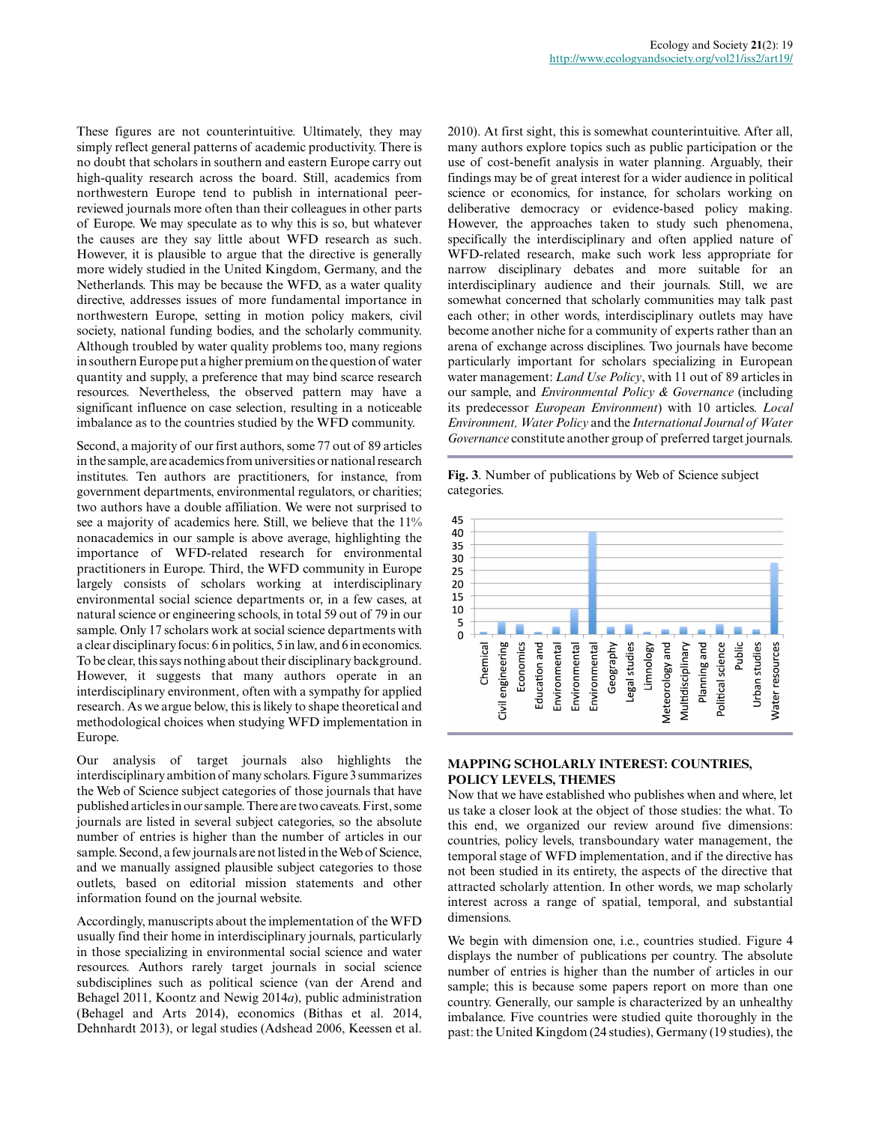These figures are not counterintuitive. Ultimately, they may simply reflect general patterns of academic productivity. There is no doubt that scholars in southern and eastern Europe carry out high-quality research across the board. Still, academics from northwestern Europe tend to publish in international peerreviewed journals more often than their colleagues in other parts of Europe. We may speculate as to why this is so, but whatever the causes are they say little about WFD research as such. However, it is plausible to argue that the directive is generally more widely studied in the United Kingdom, Germany, and the Netherlands. This may be because the WFD, as a water quality directive, addresses issues of more fundamental importance in northwestern Europe, setting in motion policy makers, civil society, national funding bodies, and the scholarly community. Although troubled by water quality problems too, many regions in southern Europe put a higher premium on the question of water quantity and supply, a preference that may bind scarce research resources. Nevertheless, the observed pattern may have a significant influence on case selection, resulting in a noticeable imbalance as to the countries studied by the WFD community.

Second, a majority of our first authors, some 77 out of 89 articles in the sample, are academics from universities or national research institutes. Ten authors are practitioners, for instance, from government departments, environmental regulators, or charities; two authors have a double affiliation. We were not surprised to see a majority of academics here. Still, we believe that the  $11\%$ nonacademics in our sample is above average, highlighting the importance of WFD-related research for environmental practitioners in Europe. Third, the WFD community in Europe largely consists of scholars working at interdisciplinary environmental social science departments or, in a few cases, at natural science or engineering schools, in total 59 out of 79 in our sample. Only 17 scholars work at social science departments with a clear disciplinary focus: 6 in politics, 5 in law, and 6 in economics. To be clear, this says nothing about their disciplinary background. However, it suggests that many authors operate in an interdisciplinary environment, often with a sympathy for applied research. As we argue below, this is likely to shape theoretical and methodological choices when studying WFD implementation in Europe.

Our analysis of target journals also highlights the interdisciplinary ambition of many scholars. Figure 3 summarizes the Web of Science subject categories of those journals that have published articles in our sample. There are two caveats. First, some journals are listed in several subject categories, so the absolute number of entries is higher than the number of articles in our sample. Second, a few journals are not listed in the Web of Science, and we manually assigned plausible subject categories to those outlets, based on editorial mission statements and other information found on the journal website.

Accordingly, manuscripts about the implementation of the WFD usually find their home in interdisciplinary journals, particularly in those specializing in environmental social science and water resources. Authors rarely target journals in social science subdisciplines such as political science (van der Arend and Behagel 2011, Koontz and Newig 2014*a*), public administration (Behagel and Arts 2014), economics (Bithas et al. 2014, Dehnhardt 2013), or legal studies (Adshead 2006, Keessen et al. 2010). At first sight, this is somewhat counterintuitive. After all, many authors explore topics such as public participation or the use of cost-benefit analysis in water planning. Arguably, their findings may be of great interest for a wider audience in political science or economics, for instance, for scholars working on deliberative democracy or evidence-based policy making. However, the approaches taken to study such phenomena, specifically the interdisciplinary and often applied nature of WFD-related research, make such work less appropriate for narrow disciplinary debates and more suitable for an interdisciplinary audience and their journals. Still, we are somewhat concerned that scholarly communities may talk past each other; in other words, interdisciplinary outlets may have become another niche for a community of experts rather than an arena of exchange across disciplines. Two journals have become particularly important for scholars specializing in European water management: *Land Use Policy*, with 11 out of 89 articles in our sample, and *Environmental Policy & Governance* (including its predecessor *European Environment*) with 10 articles. *Local Environment, Water Policy* and the *International Journal of Water Governance* constitute another group of preferred target journals.

**Fig. 3**. Number of publications by Web of Science subject categories.



# **MAPPING SCHOLARLY INTEREST: COUNTRIES, POLICY LEVELS, THEMES**

Now that we have established who publishes when and where, let us take a closer look at the object of those studies: the what. To this end, we organized our review around five dimensions: countries, policy levels, transboundary water management, the temporal stage of WFD implementation, and if the directive has not been studied in its entirety, the aspects of the directive that attracted scholarly attention. In other words, we map scholarly interest across a range of spatial, temporal, and substantial dimensions.

We begin with dimension one, i.e., countries studied. Figure 4 displays the number of publications per country. The absolute number of entries is higher than the number of articles in our sample; this is because some papers report on more than one country. Generally, our sample is characterized by an unhealthy imbalance. Five countries were studied quite thoroughly in the past: the United Kingdom (24 studies), Germany (19 studies), the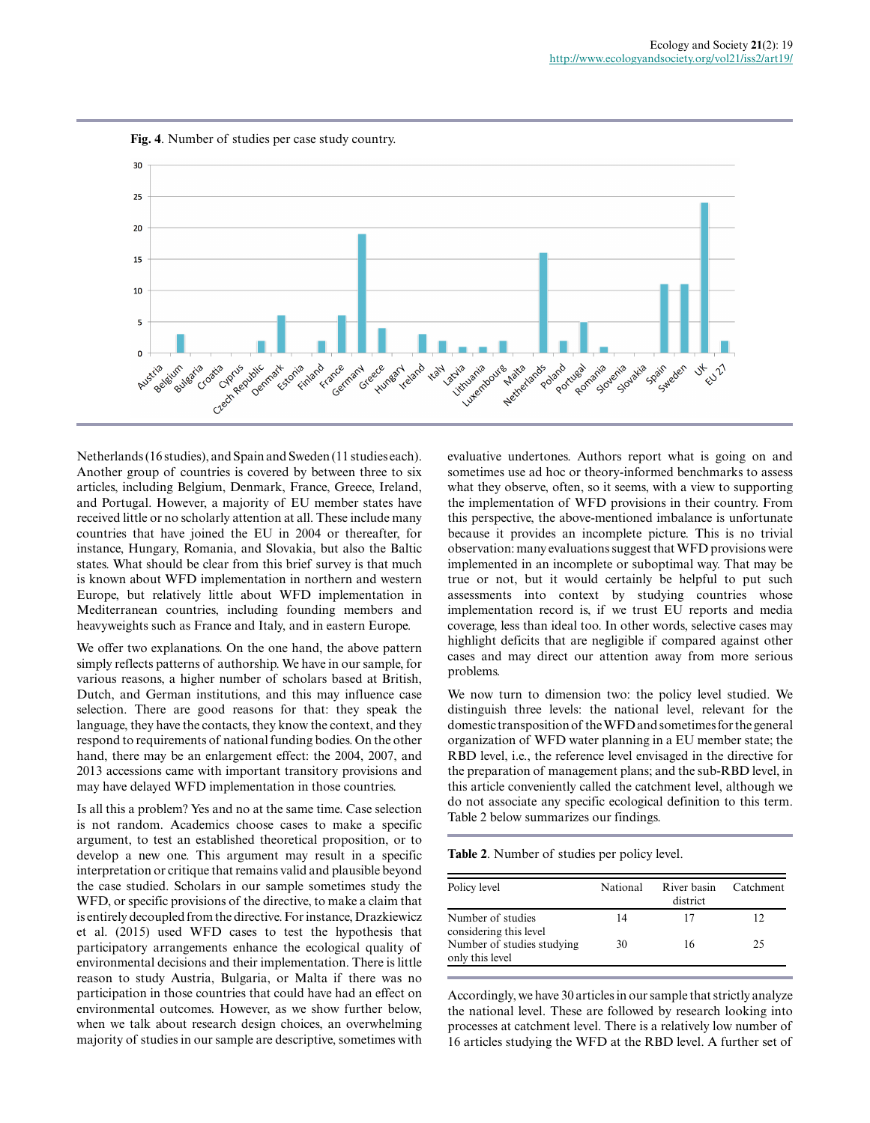

# **Fig. 4**. Number of studies per case study country.

Netherlands (16 studies), and Spain and Sweden (11 studies each). Another group of countries is covered by between three to six articles, including Belgium, Denmark, France, Greece, Ireland, and Portugal. However, a majority of EU member states have received little or no scholarly attention at all. These include many countries that have joined the EU in 2004 or thereafter, for instance, Hungary, Romania, and Slovakia, but also the Baltic states. What should be clear from this brief survey is that much is known about WFD implementation in northern and western Europe, but relatively little about WFD implementation in Mediterranean countries, including founding members and heavyweights such as France and Italy, and in eastern Europe.

We offer two explanations. On the one hand, the above pattern simply reflects patterns of authorship. We have in our sample, for various reasons, a higher number of scholars based at British, Dutch, and German institutions, and this may influence case selection. There are good reasons for that: they speak the language, they have the contacts, they know the context, and they respond to requirements of national funding bodies. On the other hand, there may be an enlargement effect: the 2004, 2007, and 2013 accessions came with important transitory provisions and may have delayed WFD implementation in those countries.

Is all this a problem? Yes and no at the same time. Case selection is not random. Academics choose cases to make a specific argument, to test an established theoretical proposition, or to develop a new one. This argument may result in a specific interpretation or critique that remains valid and plausible beyond the case studied. Scholars in our sample sometimes study the WFD, or specific provisions of the directive, to make a claim that is entirely decoupled from the directive. For instance, Drazkiewicz et al. (2015) used WFD cases to test the hypothesis that participatory arrangements enhance the ecological quality of environmental decisions and their implementation. There is little reason to study Austria, Bulgaria, or Malta if there was no participation in those countries that could have had an effect on environmental outcomes. However, as we show further below, when we talk about research design choices, an overwhelming majority of studies in our sample are descriptive, sometimes with

evaluative undertones. Authors report what is going on and sometimes use ad hoc or theory-informed benchmarks to assess what they observe, often, so it seems, with a view to supporting the implementation of WFD provisions in their country. From this perspective, the above-mentioned imbalance is unfortunate because it provides an incomplete picture. This is no trivial observation: many evaluations suggest that WFD provisions were implemented in an incomplete or suboptimal way. That may be true or not, but it would certainly be helpful to put such assessments into context by studying countries whose implementation record is, if we trust EU reports and media coverage, less than ideal too. In other words, selective cases may highlight deficits that are negligible if compared against other cases and may direct our attention away from more serious problems.

We now turn to dimension two: the policy level studied. We distinguish three levels: the national level, relevant for the domestic transposition of the WFD and sometimes for the general organization of WFD water planning in a EU member state; the RBD level, i.e., the reference level envisaged in the directive for the preparation of management plans; and the sub-RBD level, in this article conveniently called the catchment level, although we do not associate any specific ecological definition to this term. Table 2 below summarizes our findings.

**Table 2**. Number of studies per policy level.

| Policy level                                  | National | River basin<br>district | Catchment |
|-----------------------------------------------|----------|-------------------------|-----------|
| Number of studies<br>considering this level   | 14       |                         | 12        |
| Number of studies studying<br>only this level | 30       | 16                      | 25        |

Accordingly, we have 30 articles in our sample that strictly analyze the national level. These are followed by research looking into processes at catchment level. There is a relatively low number of 16 articles studying the WFD at the RBD level. A further set of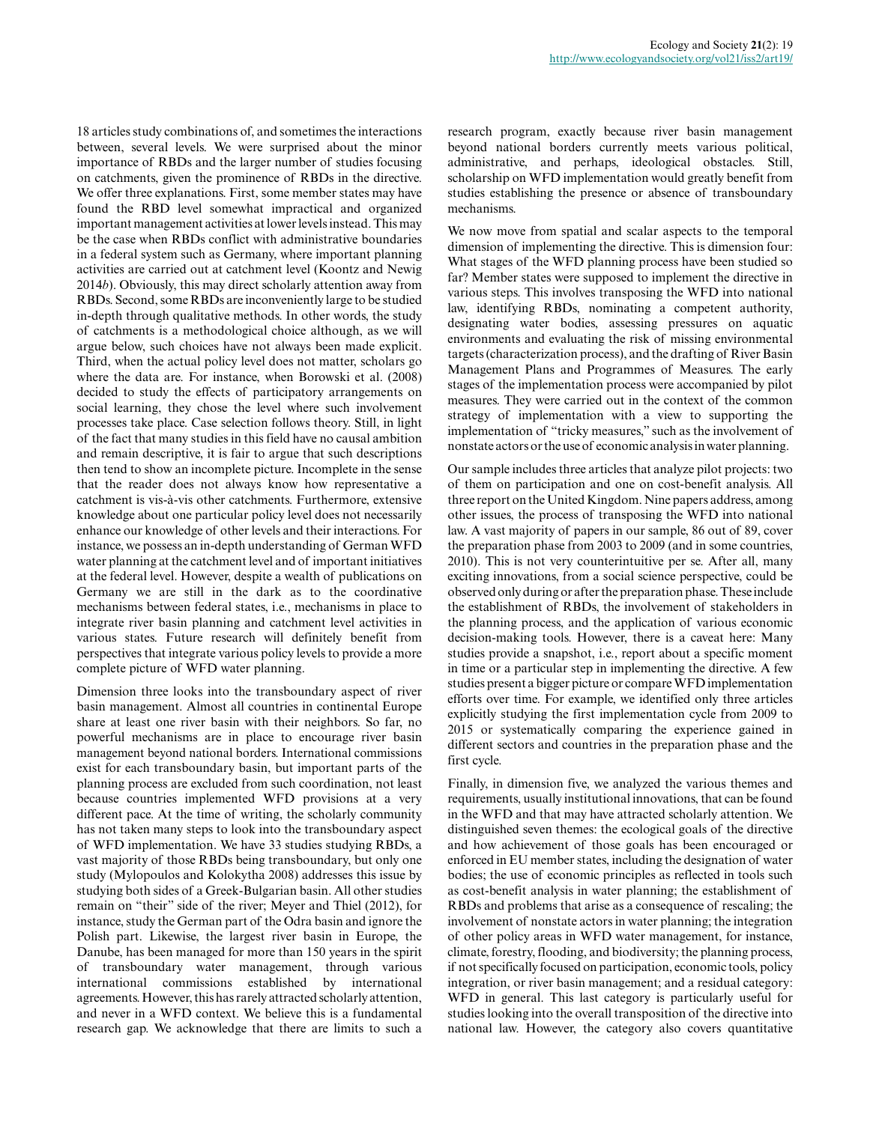18 articles study combinations of, and sometimes the interactions between, several levels. We were surprised about the minor importance of RBDs and the larger number of studies focusing on catchments, given the prominence of RBDs in the directive. We offer three explanations. First, some member states may have found the RBD level somewhat impractical and organized important management activities at lower levels instead. This may be the case when RBDs conflict with administrative boundaries in a federal system such as Germany, where important planning activities are carried out at catchment level (Koontz and Newig 2014*b*). Obviously, this may direct scholarly attention away from RBDs. Second, some RBDs are inconveniently large to be studied in-depth through qualitative methods. In other words, the study of catchments is a methodological choice although, as we will argue below, such choices have not always been made explicit. Third, when the actual policy level does not matter, scholars go where the data are. For instance, when Borowski et al. (2008) decided to study the effects of participatory arrangements on social learning, they chose the level where such involvement processes take place. Case selection follows theory. Still, in light of the fact that many studies in this field have no causal ambition and remain descriptive, it is fair to argue that such descriptions then tend to show an incomplete picture. Incomplete in the sense that the reader does not always know how representative a catchment is vis-à-vis other catchments. Furthermore, extensive knowledge about one particular policy level does not necessarily enhance our knowledge of other levels and their interactions. For instance, we possess an in-depth understanding of German WFD water planning at the catchment level and of important initiatives at the federal level. However, despite a wealth of publications on Germany we are still in the dark as to the coordinative mechanisms between federal states, i.e., mechanisms in place to integrate river basin planning and catchment level activities in various states. Future research will definitely benefit from perspectives that integrate various policy levels to provide a more complete picture of WFD water planning.

Dimension three looks into the transboundary aspect of river basin management. Almost all countries in continental Europe share at least one river basin with their neighbors. So far, no powerful mechanisms are in place to encourage river basin management beyond national borders. International commissions exist for each transboundary basin, but important parts of the planning process are excluded from such coordination, not least because countries implemented WFD provisions at a very different pace. At the time of writing, the scholarly community has not taken many steps to look into the transboundary aspect of WFD implementation. We have 33 studies studying RBDs, a vast majority of those RBDs being transboundary, but only one study (Mylopoulos and Kolokytha 2008) addresses this issue by studying both sides of a Greek-Bulgarian basin. All other studies remain on "their" side of the river; Meyer and Thiel (2012), for instance, study the German part of the Odra basin and ignore the Polish part. Likewise, the largest river basin in Europe, the Danube, has been managed for more than 150 years in the spirit of transboundary water management, through various international commissions established by international agreements. However, this has rarely attracted scholarly attention, and never in a WFD context. We believe this is a fundamental research gap. We acknowledge that there are limits to such a

research program, exactly because river basin management beyond national borders currently meets various political, administrative, and perhaps, ideological obstacles. Still, scholarship on WFD implementation would greatly benefit from studies establishing the presence or absence of transboundary mechanisms.

We now move from spatial and scalar aspects to the temporal dimension of implementing the directive. This is dimension four: What stages of the WFD planning process have been studied so far? Member states were supposed to implement the directive in various steps. This involves transposing the WFD into national law, identifying RBDs, nominating a competent authority, designating water bodies, assessing pressures on aquatic environments and evaluating the risk of missing environmental targets (characterization process), and the drafting of River Basin Management Plans and Programmes of Measures. The early stages of the implementation process were accompanied by pilot measures. They were carried out in the context of the common strategy of implementation with a view to supporting the implementation of "tricky measures," such as the involvement of nonstate actors or the use of economic analysis in water planning.

Our sample includes three articles that analyze pilot projects: two of them on participation and one on cost-benefit analysis. All three report on the United Kingdom. Nine papers address, among other issues, the process of transposing the WFD into national law. A vast majority of papers in our sample, 86 out of 89, cover the preparation phase from 2003 to 2009 (and in some countries, 2010). This is not very counterintuitive per se. After all, many exciting innovations, from a social science perspective, could be observed only during or after the preparation phase. These include the establishment of RBDs, the involvement of stakeholders in the planning process, and the application of various economic decision-making tools. However, there is a caveat here: Many studies provide a snapshot, i.e., report about a specific moment in time or a particular step in implementing the directive. A few studies present a bigger picture or compare WFD implementation efforts over time. For example, we identified only three articles explicitly studying the first implementation cycle from 2009 to 2015 or systematically comparing the experience gained in different sectors and countries in the preparation phase and the first cycle.

Finally, in dimension five, we analyzed the various themes and requirements, usually institutional innovations, that can be found in the WFD and that may have attracted scholarly attention. We distinguished seven themes: the ecological goals of the directive and how achievement of those goals has been encouraged or enforced in EU member states, including the designation of water bodies; the use of economic principles as reflected in tools such as cost-benefit analysis in water planning; the establishment of RBDs and problems that arise as a consequence of rescaling; the involvement of nonstate actors in water planning; the integration of other policy areas in WFD water management, for instance, climate, forestry, flooding, and biodiversity; the planning process, if not specifically focused on participation, economic tools, policy integration, or river basin management; and a residual category: WFD in general. This last category is particularly useful for studies looking into the overall transposition of the directive into national law. However, the category also covers quantitative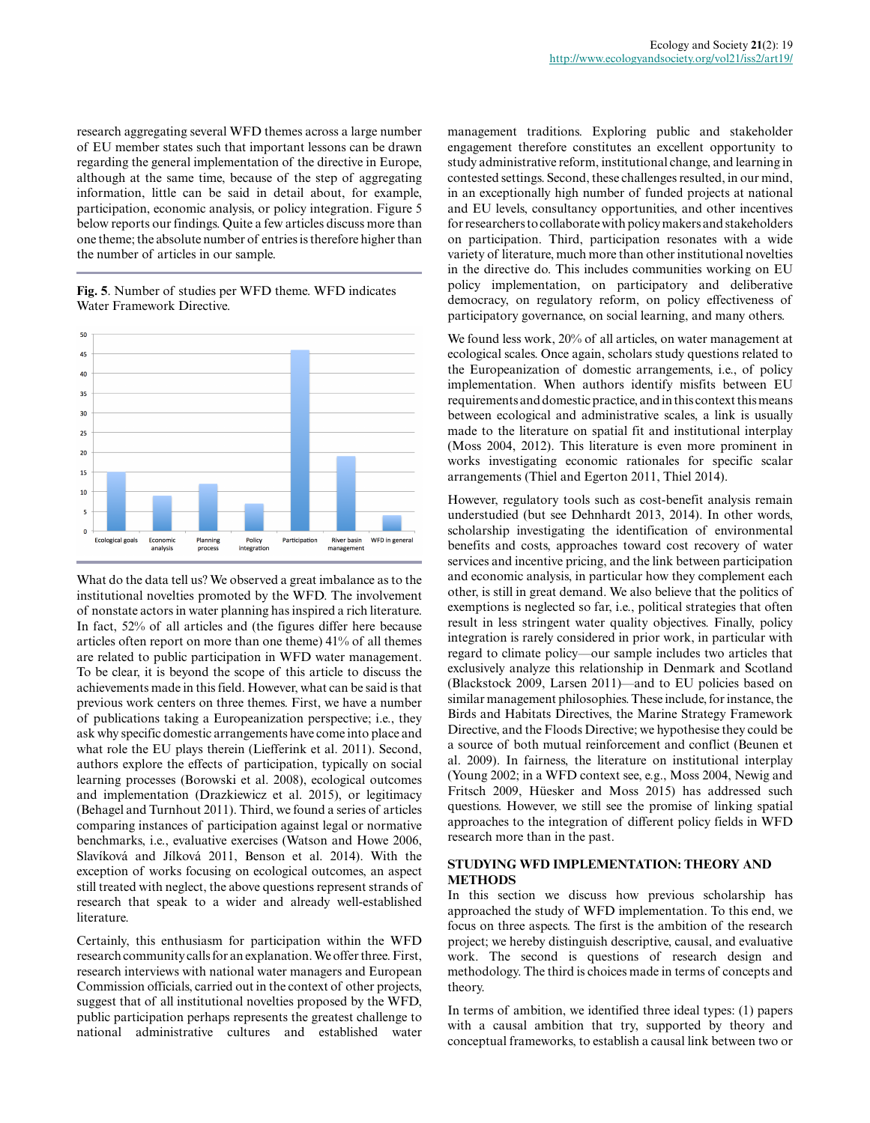research aggregating several WFD themes across a large number of EU member states such that important lessons can be drawn regarding the general implementation of the directive in Europe, although at the same time, because of the step of aggregating information, little can be said in detail about, for example, participation, economic analysis, or policy integration. Figure 5 below reports our findings. Quite a few articles discuss more than one theme; the absolute number of entries is therefore higher than the number of articles in our sample.

**Fig. 5**. Number of studies per WFD theme. WFD indicates Water Framework Directive.



What do the data tell us? We observed a great imbalance as to the institutional novelties promoted by the WFD. The involvement of nonstate actors in water planning has inspired a rich literature. In fact, 52% of all articles and (the figures differ here because articles often report on more than one theme) 41% of all themes are related to public participation in WFD water management. To be clear, it is beyond the scope of this article to discuss the achievements made in this field. However, what can be said is that previous work centers on three themes. First, we have a number of publications taking a Europeanization perspective; i.e., they ask why specific domestic arrangements have come into place and what role the EU plays therein (Liefferink et al. 2011). Second, authors explore the effects of participation, typically on social learning processes (Borowski et al. 2008), ecological outcomes and implementation (Drazkiewicz et al. 2015), or legitimacy (Behagel and Turnhout 2011). Third, we found a series of articles comparing instances of participation against legal or normative benchmarks, i.e., evaluative exercises (Watson and Howe 2006, Slavíková and Jílková 2011, Benson et al. 2014). With the exception of works focusing on ecological outcomes, an aspect still treated with neglect, the above questions represent strands of research that speak to a wider and already well-established literature.

Certainly, this enthusiasm for participation within the WFD research community calls for an explanation. We offer three. First, research interviews with national water managers and European Commission officials, carried out in the context of other projects, suggest that of all institutional novelties proposed by the WFD, public participation perhaps represents the greatest challenge to national administrative cultures and established water management traditions. Exploring public and stakeholder engagement therefore constitutes an excellent opportunity to study administrative reform, institutional change, and learning in contested settings. Second, these challenges resulted, in our mind, in an exceptionally high number of funded projects at national and EU levels, consultancy opportunities, and other incentives for researchers to collaborate with policy makers and stakeholders on participation. Third, participation resonates with a wide variety of literature, much more than other institutional novelties in the directive do. This includes communities working on EU policy implementation, on participatory and deliberative democracy, on regulatory reform, on policy effectiveness of participatory governance, on social learning, and many others.

We found less work, 20% of all articles, on water management at ecological scales. Once again, scholars study questions related to the Europeanization of domestic arrangements, i.e., of policy implementation. When authors identify misfits between EU requirements and domestic practice, and in this context this means between ecological and administrative scales, a link is usually made to the literature on spatial fit and institutional interplay (Moss 2004, 2012). This literature is even more prominent in works investigating economic rationales for specific scalar arrangements (Thiel and Egerton 2011, Thiel 2014).

However, regulatory tools such as cost-benefit analysis remain understudied (but see Dehnhardt 2013, 2014). In other words, scholarship investigating the identification of environmental benefits and costs, approaches toward cost recovery of water services and incentive pricing, and the link between participation and economic analysis, in particular how they complement each other, is still in great demand. We also believe that the politics of exemptions is neglected so far, i.e., political strategies that often result in less stringent water quality objectives. Finally, policy integration is rarely considered in prior work, in particular with regard to climate policy—our sample includes two articles that exclusively analyze this relationship in Denmark and Scotland (Blackstock 2009, Larsen 2011)—and to EU policies based on similar management philosophies. These include, for instance, the Birds and Habitats Directives, the Marine Strategy Framework Directive, and the Floods Directive; we hypothesise they could be a source of both mutual reinforcement and conflict (Beunen et al. 2009). In fairness, the literature on institutional interplay (Young 2002; in a WFD context see, e.g., Moss 2004, Newig and Fritsch 2009, Hüesker and Moss 2015) has addressed such questions. However, we still see the promise of linking spatial approaches to the integration of different policy fields in WFD research more than in the past.

# **STUDYING WFD IMPLEMENTATION: THEORY AND METHODS**

In this section we discuss how previous scholarship has approached the study of WFD implementation. To this end, we focus on three aspects. The first is the ambition of the research project; we hereby distinguish descriptive, causal, and evaluative work. The second is questions of research design and methodology. The third is choices made in terms of concepts and theory.

In terms of ambition, we identified three ideal types: (1) papers with a causal ambition that try, supported by theory and conceptual frameworks, to establish a causal link between two or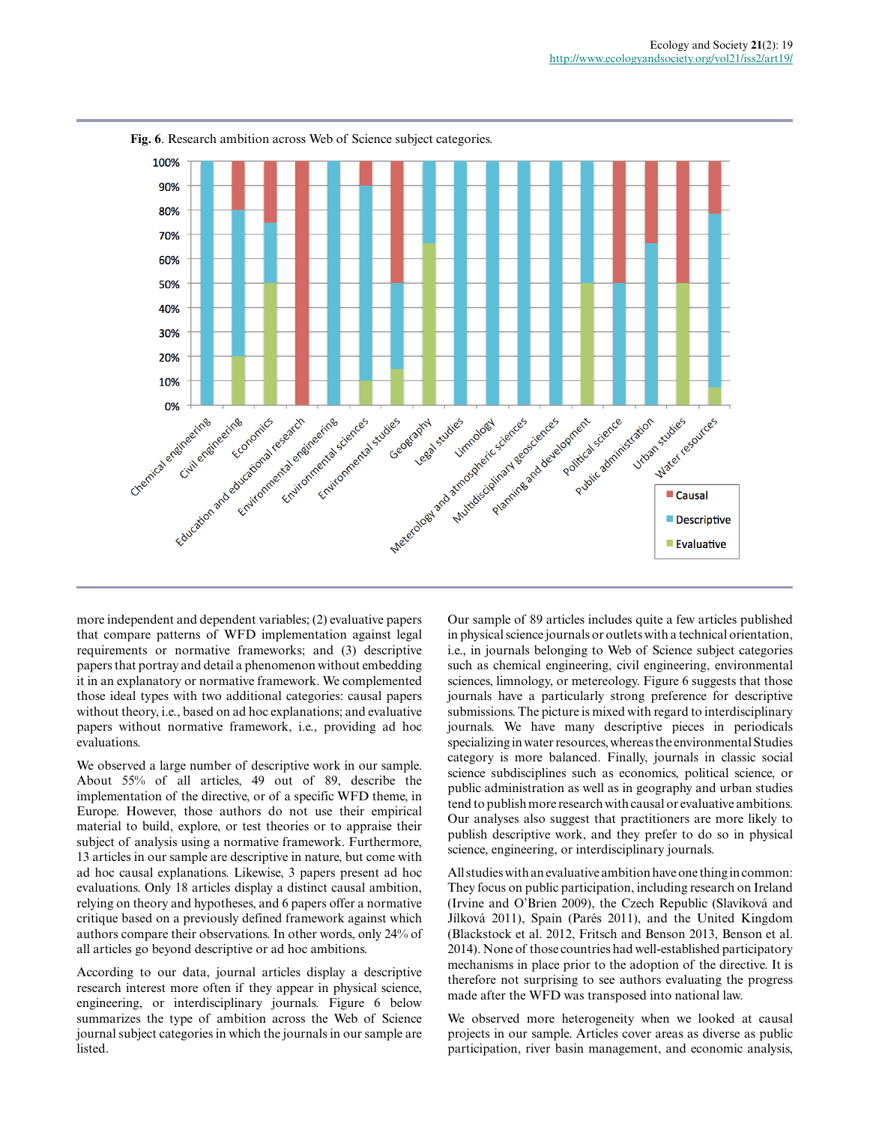

**Fig. 6**. Research ambition across Web of Science subject categories.

more independent and dependent variables; (2) evaluative papers that compare patterns of WFD implementation against legal requirements or normative frameworks; and (3) descriptive papers that portray and detail a phenomenon without embedding it in an explanatory or normative framework. We complemented those ideal types with two additional categories: causal papers without theory, i.e., based on ad hoc explanations; and evaluative papers without normative framework, i.e., providing ad hoc evaluations.

We observed a large number of descriptive work in our sample. About 55% of all articles, 49 out of 89, describe the implementation of the directive, or of a specific WFD theme, in Europe. However, those authors do not use their empirical material to build, explore, or test theories or to appraise their subject of analysis using a normative framework. Furthermore, 13 articles in our sample are descriptive in nature, but come with ad hoc causal explanations. Likewise, 3 papers present ad hoc evaluations. Only 18 articles display a distinct causal ambition, relying on theory and hypotheses, and 6 papers offer a normative critique based on a previously defined framework against which authors compare their observations. In other words, only 24% of all articles go beyond descriptive or ad hoc ambitions.

According to our data, journal articles display a descriptive research interest more often if they appear in physical science, engineering, or interdisciplinary journals. Figure 6 below summarizes the type of ambition across the Web of Science journal subject categories in which the journals in our sample are listed.

Our sample of 89 articles includes quite a few articles published in physical science journals or outlets with a technical orientation, i.e., in journals belonging to Web of Science subject categories such as chemical engineering, civil engineering, environmental sciences, limnology, or metereology. Figure 6 suggests that those journals have a particularly strong preference for descriptive submissions. The picture is mixed with regard to interdisciplinary journals. We have many descriptive pieces in periodicals specializing in water resources, whereas the environmental Studies category is more balanced. Finally, journals in classic social science subdisciplines such as economics, political science, or public administration as well as in geography and urban studies tend to publish more research with causal or evaluative ambitions. Our analyses also suggest that practitioners are more likely to publish descriptive work, and they prefer to do so in physical science, engineering, or interdisciplinary journals.

All studies with an evaluative ambition have one thing in common: They focus on public participation, including research on Ireland (Irvine and O'Brien 2009), the Czech Republic (Slavíková and Jílková 2011), Spain (Parés 2011), and the United Kingdom (Blackstock et al. 2012, Fritsch and Benson 2013, Benson et al. 2014). None of those countries had well-established participatory mechanisms in place prior to the adoption of the directive. It is therefore not surprising to see authors evaluating the progress made after the WFD was transposed into national law.

We observed more heterogeneity when we looked at causal projects in our sample. Articles cover areas as diverse as public participation, river basin management, and economic analysis,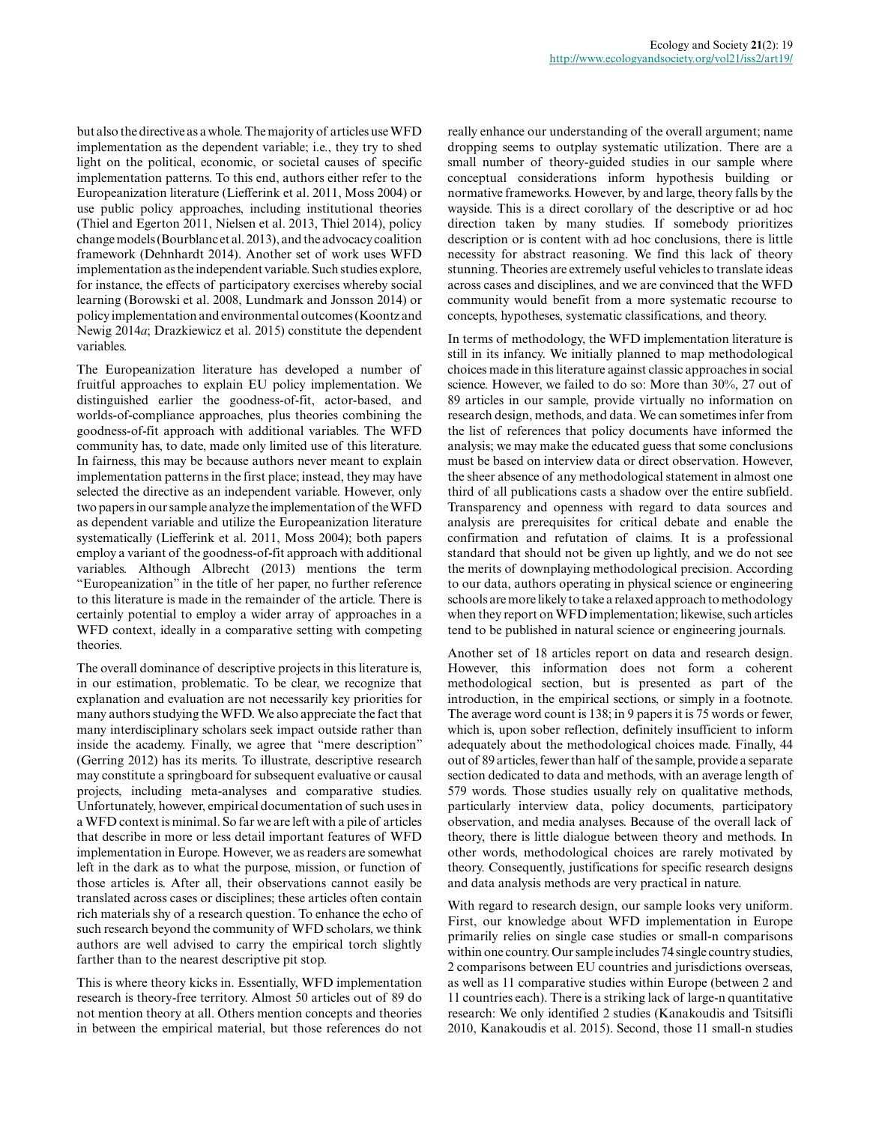but also the directive as a whole. The majority of articles use WFD implementation as the dependent variable; i.e., they try to shed light on the political, economic, or societal causes of specific implementation patterns. To this end, authors either refer to the Europeanization literature (Liefferink et al. 2011, Moss 2004) or use public policy approaches, including institutional theories (Thiel and Egerton 2011, Nielsen et al. 2013, Thiel 2014), policy change models (Bourblanc et al. 2013), and the advocacy coalition framework (Dehnhardt 2014). Another set of work uses WFD implementation as the independent variable. Such studies explore, for instance, the effects of participatory exercises whereby social learning (Borowski et al. 2008, Lundmark and Jonsson 2014) or policy implementation and environmental outcomes (Koontz and Newig 2014*a*; Drazkiewicz et al. 2015) constitute the dependent variables.

The Europeanization literature has developed a number of fruitful approaches to explain EU policy implementation. We distinguished earlier the goodness-of-fit, actor-based, and worlds-of-compliance approaches, plus theories combining the goodness-of-fit approach with additional variables. The WFD community has, to date, made only limited use of this literature. In fairness, this may be because authors never meant to explain implementation patterns in the first place; instead, they may have selected the directive as an independent variable. However, only two papers in our sample analyze the implementation of the WFD as dependent variable and utilize the Europeanization literature systematically (Liefferink et al. 2011, Moss 2004); both papers employ a variant of the goodness-of-fit approach with additional variables. Although Albrecht (2013) mentions the term "Europeanization" in the title of her paper, no further reference to this literature is made in the remainder of the article. There is certainly potential to employ a wider array of approaches in a WFD context, ideally in a comparative setting with competing theories.

The overall dominance of descriptive projects in this literature is, in our estimation, problematic. To be clear, we recognize that explanation and evaluation are not necessarily key priorities for many authors studying the WFD. We also appreciate the fact that many interdisciplinary scholars seek impact outside rather than inside the academy. Finally, we agree that "mere description" (Gerring 2012) has its merits. To illustrate, descriptive research may constitute a springboard for subsequent evaluative or causal projects, including meta-analyses and comparative studies. Unfortunately, however, empirical documentation of such uses in a WFD context is minimal. So far we are left with a pile of articles that describe in more or less detail important features of WFD implementation in Europe. However, we as readers are somewhat left in the dark as to what the purpose, mission, or function of those articles is. After all, their observations cannot easily be translated across cases or disciplines; these articles often contain rich materials shy of a research question. To enhance the echo of such research beyond the community of WFD scholars, we think authors are well advised to carry the empirical torch slightly farther than to the nearest descriptive pit stop.

This is where theory kicks in. Essentially, WFD implementation research is theory-free territory. Almost 50 articles out of 89 do not mention theory at all. Others mention concepts and theories in between the empirical material, but those references do not really enhance our understanding of the overall argument; name dropping seems to outplay systematic utilization. There are a small number of theory-guided studies in our sample where conceptual considerations inform hypothesis building or normative frameworks. However, by and large, theory falls by the wayside. This is a direct corollary of the descriptive or ad hoc direction taken by many studies. If somebody prioritizes description or is content with ad hoc conclusions, there is little necessity for abstract reasoning. We find this lack of theory stunning. Theories are extremely useful vehicles to translate ideas across cases and disciplines, and we are convinced that the WFD community would benefit from a more systematic recourse to concepts, hypotheses, systematic classifications, and theory.

In terms of methodology, the WFD implementation literature is still in its infancy. We initially planned to map methodological choices made in this literature against classic approaches in social science. However, we failed to do so: More than 30%, 27 out of 89 articles in our sample, provide virtually no information on research design, methods, and data. We can sometimes infer from the list of references that policy documents have informed the analysis; we may make the educated guess that some conclusions must be based on interview data or direct observation. However, the sheer absence of any methodological statement in almost one third of all publications casts a shadow over the entire subfield. Transparency and openness with regard to data sources and analysis are prerequisites for critical debate and enable the confirmation and refutation of claims. It is a professional standard that should not be given up lightly, and we do not see the merits of downplaying methodological precision. According to our data, authors operating in physical science or engineering schools are more likely to take a relaxed approach to methodology when they report on WFD implementation; likewise, such articles tend to be published in natural science or engineering journals.

Another set of 18 articles report on data and research design. However, this information does not form a coherent methodological section, but is presented as part of the introduction, in the empirical sections, or simply in a footnote. The average word count is 138; in 9 papers it is 75 words or fewer, which is, upon sober reflection, definitely insufficient to inform adequately about the methodological choices made. Finally, 44 out of 89 articles, fewer than half of the sample, provide a separate section dedicated to data and methods, with an average length of 579 words. Those studies usually rely on qualitative methods, particularly interview data, policy documents, participatory observation, and media analyses. Because of the overall lack of theory, there is little dialogue between theory and methods. In other words, methodological choices are rarely motivated by theory. Consequently, justifications for specific research designs and data analysis methods are very practical in nature.

With regard to research design, our sample looks very uniform. First, our knowledge about WFD implementation in Europe primarily relies on single case studies or small-n comparisons within one country. Our sample includes 74 single country studies, 2 comparisons between EU countries and jurisdictions overseas, as well as 11 comparative studies within Europe (between 2 and 11 countries each). There is a striking lack of large-n quantitative research: We only identified 2 studies (Kanakoudis and Tsitsifli 2010, Kanakoudis et al. 2015). Second, those 11 small-n studies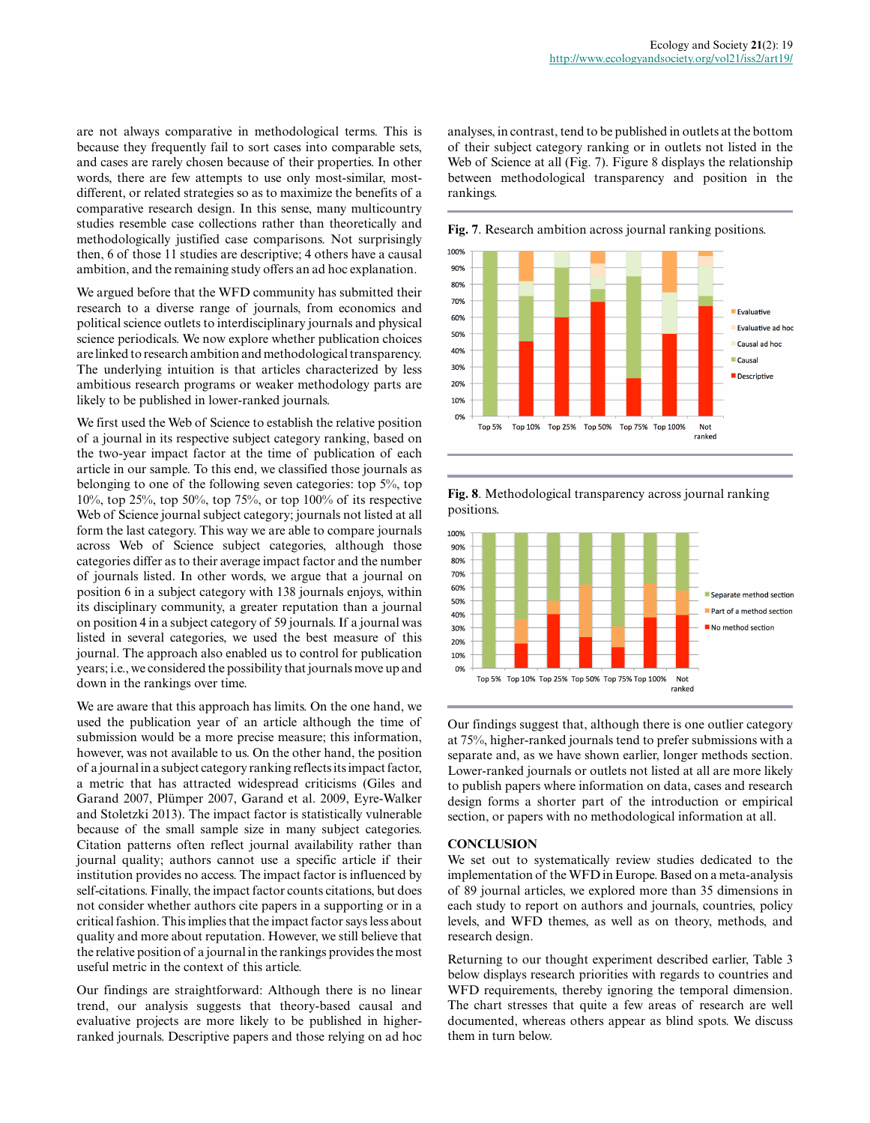are not always comparative in methodological terms. This is because they frequently fail to sort cases into comparable sets, and cases are rarely chosen because of their properties. In other words, there are few attempts to use only most-similar, mostdifferent, or related strategies so as to maximize the benefits of a comparative research design. In this sense, many multicountry studies resemble case collections rather than theoretically and methodologically justified case comparisons. Not surprisingly then, 6 of those 11 studies are descriptive; 4 others have a causal ambition, and the remaining study offers an ad hoc explanation.

We argued before that the WFD community has submitted their research to a diverse range of journals, from economics and political science outlets to interdisciplinary journals and physical science periodicals. We now explore whether publication choices are linked to research ambition and methodological transparency. The underlying intuition is that articles characterized by less ambitious research programs or weaker methodology parts are likely to be published in lower-ranked journals.

We first used the Web of Science to establish the relative position of a journal in its respective subject category ranking, based on the two-year impact factor at the time of publication of each article in our sample. To this end, we classified those journals as belonging to one of the following seven categories: top 5%, top 10%, top 25%, top 50%, top 75%, or top 100% of its respective Web of Science journal subject category; journals not listed at all form the last category. This way we are able to compare journals across Web of Science subject categories, although those categories differ as to their average impact factor and the number of journals listed. In other words, we argue that a journal on position 6 in a subject category with 138 journals enjoys, within its disciplinary community, a greater reputation than a journal on position 4 in a subject category of 59 journals. If a journal was listed in several categories, we used the best measure of this journal. The approach also enabled us to control for publication years; i.e., we considered the possibility that journals move up and down in the rankings over time.

We are aware that this approach has limits. On the one hand, we used the publication year of an article although the time of submission would be a more precise measure; this information, however, was not available to us. On the other hand, the position of a journal in a subject category ranking reflects its impact factor, a metric that has attracted widespread criticisms (Giles and Garand 2007, Plümper 2007, Garand et al. 2009, Eyre-Walker and Stoletzki 2013). The impact factor is statistically vulnerable because of the small sample size in many subject categories. Citation patterns often reflect journal availability rather than journal quality; authors cannot use a specific article if their institution provides no access. The impact factor is influenced by self-citations. Finally, the impact factor counts citations, but does not consider whether authors cite papers in a supporting or in a critical fashion. This implies that the impact factor says less about quality and more about reputation. However, we still believe that the relative position of a journal in the rankings provides the most useful metric in the context of this article.

Our findings are straightforward: Although there is no linear trend, our analysis suggests that theory-based causal and evaluative projects are more likely to be published in higherranked journals. Descriptive papers and those relying on ad hoc analyses, in contrast, tend to be published in outlets at the bottom of their subject category ranking or in outlets not listed in the Web of Science at all (Fig. 7). Figure 8 displays the relationship between methodological transparency and position in the rankings.

**Fig. 7**. Research ambition across journal ranking positions.



**Fig. 8**. Methodological transparency across journal ranking positions.



Our findings suggest that, although there is one outlier category at 75%, higher-ranked journals tend to prefer submissions with a separate and, as we have shown earlier, longer methods section. Lower-ranked journals or outlets not listed at all are more likely to publish papers where information on data, cases and research design forms a shorter part of the introduction or empirical section, or papers with no methodological information at all.

### **CONCLUSION**

We set out to systematically review studies dedicated to the implementation of the WFD in Europe. Based on a meta-analysis of 89 journal articles, we explored more than 35 dimensions in each study to report on authors and journals, countries, policy levels, and WFD themes, as well as on theory, methods, and research design.

Returning to our thought experiment described earlier, Table 3 below displays research priorities with regards to countries and WFD requirements, thereby ignoring the temporal dimension. The chart stresses that quite a few areas of research are well documented, whereas others appear as blind spots. We discuss them in turn below.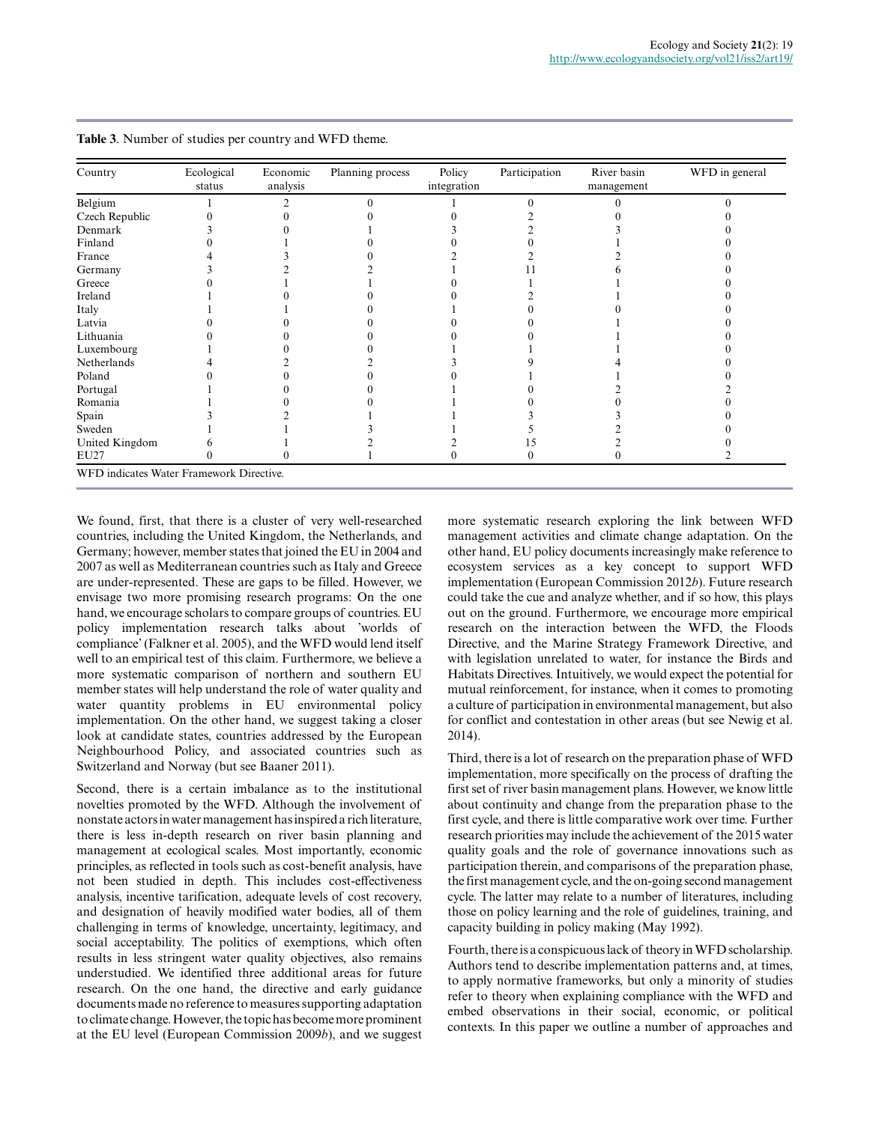| Country                                  | Ecological<br>status | Economic<br>analysis | Planning process | Policy<br>integration | Participation | River basin<br>management | WFD in general |
|------------------------------------------|----------------------|----------------------|------------------|-----------------------|---------------|---------------------------|----------------|
| Belgium                                  |                      |                      |                  |                       |               |                           |                |
| Czech Republic                           |                      |                      |                  |                       |               |                           |                |
| Denmark                                  |                      |                      |                  |                       |               |                           |                |
| Finland                                  |                      |                      |                  |                       |               |                           |                |
| France                                   |                      |                      |                  |                       |               |                           |                |
| Germany                                  |                      |                      |                  |                       |               |                           |                |
| Greece                                   |                      |                      |                  |                       |               |                           |                |
| Ireland                                  |                      |                      |                  |                       |               |                           |                |
| Italy                                    |                      |                      |                  |                       |               |                           |                |
| Latvia                                   |                      |                      |                  |                       |               |                           |                |
| Lithuania                                |                      |                      |                  |                       |               |                           |                |
| Luxembourg                               |                      |                      |                  |                       |               |                           |                |
| Netherlands                              |                      |                      |                  |                       |               |                           |                |
| Poland                                   |                      |                      |                  |                       |               |                           |                |
| Portugal                                 |                      |                      |                  |                       |               |                           |                |
| Romania                                  |                      |                      |                  |                       |               |                           |                |
| Spain                                    |                      |                      |                  |                       |               |                           |                |
| Sweden                                   |                      |                      |                  |                       |               |                           |                |
| United Kingdom                           |                      |                      |                  |                       |               |                           |                |
| EU27                                     |                      |                      |                  |                       |               |                           |                |
| WFD indicates Water Framework Directive. |                      |                      |                  |                       |               |                           |                |

**Table 3**. Number of studies per country and WFD theme.

We found, first, that there is a cluster of very well-researched countries, including the United Kingdom, the Netherlands, and Germany; however, member states that joined the EU in 2004 and 2007 as well as Mediterranean countries such as Italy and Greece are under-represented. These are gaps to be filled. However, we envisage two more promising research programs: On the one hand, we encourage scholars to compare groups of countries. EU policy implementation research talks about 'worlds of compliance' (Falkner et al. 2005), and the WFD would lend itself well to an empirical test of this claim. Furthermore, we believe a more systematic comparison of northern and southern EU member states will help understand the role of water quality and water quantity problems in EU environmental policy implementation. On the other hand, we suggest taking a closer look at candidate states, countries addressed by the European Neighbourhood Policy, and associated countries such as Switzerland and Norway (but see Baaner 2011).

Second, there is a certain imbalance as to the institutional novelties promoted by the WFD. Although the involvement of nonstate actors in water management has inspired a rich literature, there is less in-depth research on river basin planning and management at ecological scales. Most importantly, economic principles, as reflected in tools such as cost-benefit analysis, have not been studied in depth. This includes cost-effectiveness analysis, incentive tarification, adequate levels of cost recovery, and designation of heavily modified water bodies, all of them challenging in terms of knowledge, uncertainty, legitimacy, and social acceptability. The politics of exemptions, which often results in less stringent water quality objectives, also remains understudied. We identified three additional areas for future research. On the one hand, the directive and early guidance documents made no reference to measures supporting adaptation to climate change. However, the topic has become more prominent at the EU level (European Commission 2009*b*), and we suggest more systematic research exploring the link between WFD management activities and climate change adaptation. On the other hand, EU policy documents increasingly make reference to ecosystem services as a key concept to support WFD implementation (European Commission 2012*b*). Future research could take the cue and analyze whether, and if so how, this plays out on the ground. Furthermore, we encourage more empirical research on the interaction between the WFD, the Floods Directive, and the Marine Strategy Framework Directive, and with legislation unrelated to water, for instance the Birds and Habitats Directives. Intuitively, we would expect the potential for mutual reinforcement, for instance, when it comes to promoting a culture of participation in environmental management, but also for conflict and contestation in other areas (but see Newig et al. 2014).

Third, there is a lot of research on the preparation phase of WFD implementation, more specifically on the process of drafting the first set of river basin management plans. However, we know little about continuity and change from the preparation phase to the first cycle, and there is little comparative work over time. Further research priorities may include the achievement of the 2015 water quality goals and the role of governance innovations such as participation therein, and comparisons of the preparation phase, the first management cycle, and the on-going second management cycle. The latter may relate to a number of literatures, including those on policy learning and the role of guidelines, training, and capacity building in policy making (May 1992).

Fourth, there is a conspicuous lack of theory in WFD scholarship. Authors tend to describe implementation patterns and, at times, to apply normative frameworks, but only a minority of studies refer to theory when explaining compliance with the WFD and embed observations in their social, economic, or political contexts. In this paper we outline a number of approaches and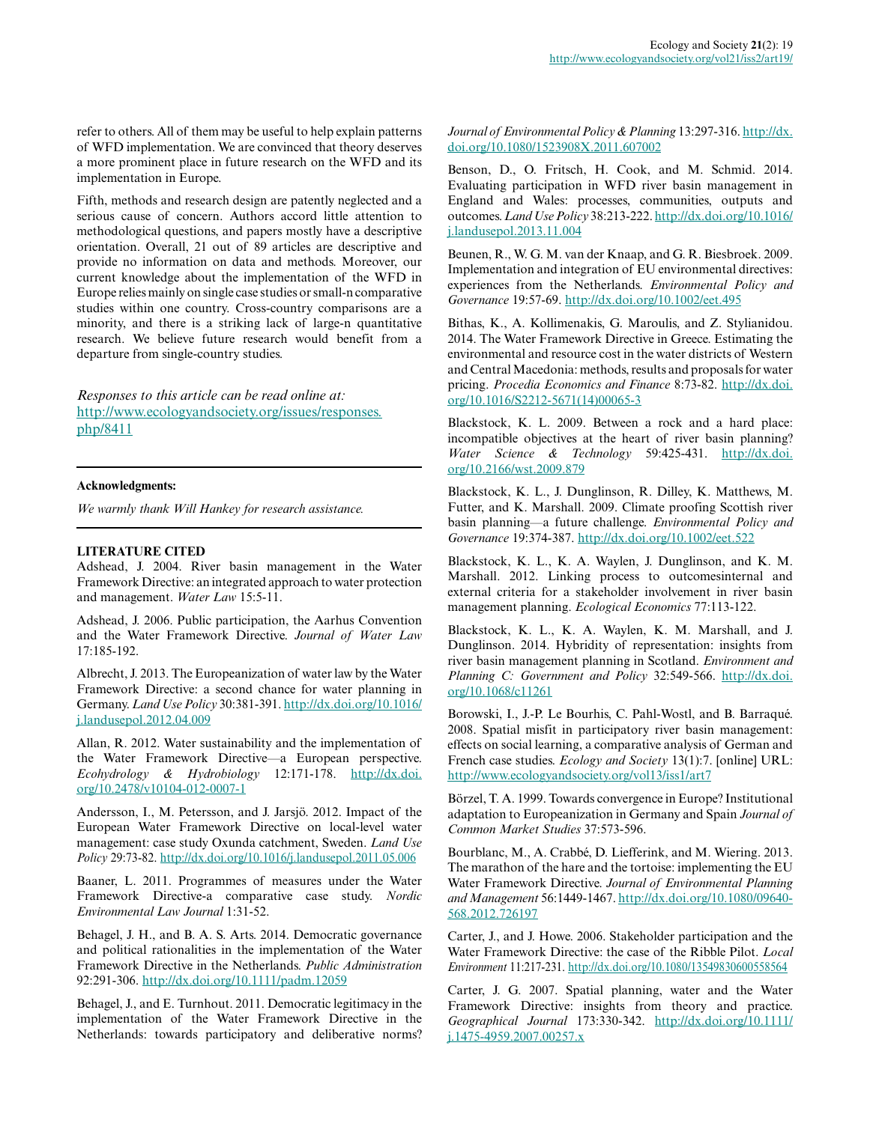refer to others. All of them may be useful to help explain patterns of WFD implementation. We are convinced that theory deserves a more prominent place in future research on the WFD and its implementation in Europe.

Fifth, methods and research design are patently neglected and a serious cause of concern. Authors accord little attention to methodological questions, and papers mostly have a descriptive orientation. Overall, 21 out of 89 articles are descriptive and provide no information on data and methods. Moreover, our current knowledge about the implementation of the WFD in Europe relies mainly on single case studies or small-n comparative studies within one country. Cross-country comparisons are a minority, and there is a striking lack of large-n quantitative research. We believe future research would benefit from a departure from single-country studies.

*Responses to this article can be read online at:* [http://www.ecologyandsociety.org/issues/responses.](http://www.ecologyandsociety.org/issues/responses.php/8411) [php/8411](http://www.ecologyandsociety.org/issues/responses.php/8411)

# **Acknowledgments:**

*We warmly thank Will Hankey for research assistance.*

#### **LITERATURE CITED**

Adshead, J. 2004. River basin management in the Water Framework Directive: an integrated approach to water protection and management. *Water Law* 15:5-11.

Adshead, J. 2006. Public participation, the Aarhus Convention and the Water Framework Directive. *Journal of Water Law* 17:185-192.

Albrecht, J. 2013. The Europeanization of water law by the Water Framework Directive: a second chance for water planning in Germany. *Land Use Policy* 30:381-391. [http://dx.doi.org/10.1016/](http://dx.doi.org/10.1016%2Fj.landusepol.2012.04.009) [j.landusepol.2012.04.009](http://dx.doi.org/10.1016%2Fj.landusepol.2012.04.009)

Allan, R. 2012. Water sustainability and the implementation of the Water Framework Directive—a European perspective. *Ecohydrology & Hydrobiology* 12:171-178. [http://dx.doi.](http://dx.doi.org/10.2478%2Fv10104-012-0007-1) [org/10.2478/v10104-012-0007-1](http://dx.doi.org/10.2478%2Fv10104-012-0007-1)

Andersson, I., M. Petersson, and J. Jarsjö. 2012. Impact of the European Water Framework Directive on local-level water management: case study Oxunda catchment, Sweden. *Land Use Policy* 29:73-82. [http://dx.doi.org/10.1016/j.landusepol.2011.05.006](http://dx.doi.org/10.1016%2Fj.landusepol.2011.05.006) 

Baaner, L. 2011. Programmes of measures under the Water Framework Directive-a comparative case study. *Nordic Environmental Law Journal* 1:31-52.

Behagel, J. H., and B. A. S. Arts. 2014. Democratic governance and political rationalities in the implementation of the Water Framework Directive in the Netherlands. *Public Administration* 92:291-306. [http://dx.doi.org/10.1111/padm.12059](http://dx.doi.org/10.1111%2Fpadm.12059)

Behagel, J., and E. Turnhout. 2011. Democratic legitimacy in the implementation of the Water Framework Directive in the Netherlands: towards participatory and deliberative norms? *Journal of Environmental Policy & Planning* 13:297-316. [http://dx.](http://dx.doi.org/10.1080%2F1523908X.2011.607002) [doi.org/10.1080/1523908X.2011.607002](http://dx.doi.org/10.1080%2F1523908X.2011.607002)

Benson, D., O. Fritsch, H. Cook, and M. Schmid. 2014. Evaluating participation in WFD river basin management in England and Wales: processes, communities, outputs and outcomes. *Land Use Policy* 38:213-222. [http://dx.doi.org/10.1016/](http://dx.doi.org/10.1016%2Fj.landusepol.2013.11.004) [j.landusepol.2013.11.004](http://dx.doi.org/10.1016%2Fj.landusepol.2013.11.004)

Beunen, R., W. G. M. van der Knaap, and G. R. Biesbroek. 2009. Implementation and integration of EU environmental directives: experiences from the Netherlands. *Environmental Policy and Governance* 19:57-69. [http://dx.doi.org/10.1002/eet.495](http://dx.doi.org/10.1002%2Feet.495) 

Bithas, K., A. Kollimenakis, G. Maroulis, and Z. Stylianidou. 2014. The Water Framework Directive in Greece. Estimating the environmental and resource cost in the water districts of Western and Central Macedonia: methods, results and proposals for water pricing. *Procedia Economics and Finance* 8:73-82. [http://dx.doi.](http://dx.doi.org/10.1016%2FS2212-5671%2814%2900065-3) [org/10.1016/S2212-5671\(14\)00065-3](http://dx.doi.org/10.1016%2FS2212-5671%2814%2900065-3)

Blackstock, K. L. 2009. Between a rock and a hard place: incompatible objectives at the heart of river basin planning? *Water Science & Technology* 59:425-431. [http://dx.doi.](http://dx.doi.org/10.2166%2Fwst.2009.879) [org/10.2166/wst.2009.879](http://dx.doi.org/10.2166%2Fwst.2009.879)

Blackstock, K. L., J. Dunglinson, R. Dilley, K. Matthews, M. Futter, and K. Marshall. 2009. Climate proofing Scottish river basin planning—a future challenge. *Environmental Policy and Governance* 19:374-387. [http://dx.doi.org/10.1002/eet.522](http://dx.doi.org/10.1002%2Feet.522) 

Blackstock, K. L., K. A. Waylen, J. Dunglinson, and K. M. Marshall. 2012. Linking process to outcomesinternal and external criteria for a stakeholder involvement in river basin management planning. *Ecological Economics* 77:113-122.

Blackstock, K. L., K. A. Waylen, K. M. Marshall, and J. Dunglinson. 2014. Hybridity of representation: insights from river basin management planning in Scotland. *Environment and Planning C: Government and Policy* 32:549-566. [http://dx.doi.](http://dx.doi.org/10.1068%2Fc11261) [org/10.1068/c11261](http://dx.doi.org/10.1068%2Fc11261) 

Borowski, I., J.-P. Le Bourhis, C. Pahl-Wostl, and B. Barraqué. 2008. Spatial misfit in participatory river basin management: effects on social learning, a comparative analysis of German and French case studies. *Ecology and Society* 13(1):7. [online] URL: <http://www.ecologyandsociety.org/vol13/iss1/art7>

Börzel, T. A. 1999. Towards convergence in Europe? Institutional adaptation to Europeanization in Germany and Spain *Journal of Common Market Studies* 37:573-596.

Bourblanc, M., A. Crabbé, D. Liefferink, and M. Wiering. 2013. The marathon of the hare and the tortoise: implementing the EU Water Framework Directive. *Journal of Environmental Planning and Management* 56:1449-1467. [http://dx.doi.org/10.1080/09640](http://dx.doi.org/10.1080%2F09640568.2012.726197) [568.2012.726197](http://dx.doi.org/10.1080%2F09640568.2012.726197)

Carter, J., and J. Howe. 2006. Stakeholder participation and the Water Framework Directive: the case of the Ribble Pilot. *Local Environment* 11:217-231. [http://dx.doi.org/10.1080/13549830600558564](http://dx.doi.org/10.1080%2F13549830600558564)

Carter, J. G. 2007. Spatial planning, water and the Water Framework Directive: insights from theory and practice. *Geographical Journal* 173:330-342. [http://dx.doi.org/10.1111/](http://dx.doi.org/10.1111%2Fj.1475-4959.2007.00257.x) [j.1475-4959.2007.00257.x](http://dx.doi.org/10.1111%2Fj.1475-4959.2007.00257.x)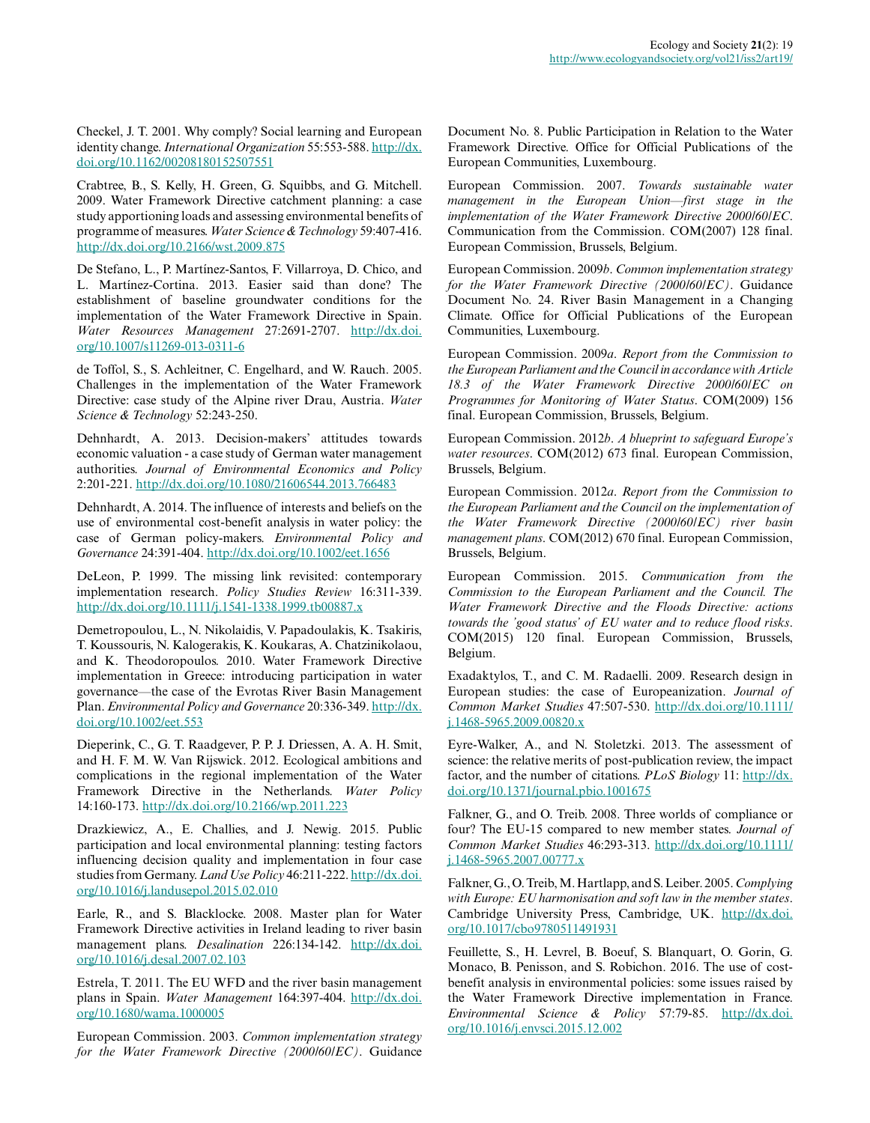Checkel, J. T. 2001. Why comply? Social learning and European identity change. *International Organization* 55:553-588. [http://dx.](http://dx.doi.org/10.1162%2F00208180152507551) [doi.org/10.1162/00208180152507551](http://dx.doi.org/10.1162%2F00208180152507551) 

Crabtree, B., S. Kelly, H. Green, G. Squibbs, and G. Mitchell. 2009. Water Framework Directive catchment planning: a case study apportioning loads and assessing environmental benefits of programme of measures. *Water Science & Technology* 59:407-416. [http://dx.doi.org/10.2166/wst.2009.875](http://dx.doi.org/10.2166%2Fwst.2009.875) 

De Stefano, L., P. Martínez-Santos, F. Villarroya, D. Chico, and L. Martínez-Cortina. 2013. Easier said than done? The establishment of baseline groundwater conditions for the implementation of the Water Framework Directive in Spain. *Water Resources Management* 27:2691-2707. [http://dx.doi.](http://dx.doi.org/10.1007%2Fs11269-013-0311-6) [org/10.1007/s11269-013-0311-6](http://dx.doi.org/10.1007%2Fs11269-013-0311-6)

de Toffol, S., S. Achleitner, C. Engelhard, and W. Rauch. 2005. Challenges in the implementation of the Water Framework Directive: case study of the Alpine river Drau, Austria. *Water Science & Technology* 52:243-250.

Dehnhardt, A. 2013. Decision-makers' attitudes towards economic valuation - a case study of German water management authorities. *Journal of Environmental Economics and Policy* 2:201-221. [http://dx.doi.org/10.1080/21606544.2013.766483](http://dx.doi.org/10.1080%2F21606544.2013.766483) 

Dehnhardt, A. 2014. The influence of interests and beliefs on the use of environmental cost-benefit analysis in water policy: the case of German policy-makers. *Environmental Policy and Governance* 24:391-404. [http://dx.doi.org/10.1002/eet.1656](http://dx.doi.org/10.1002%2Feet.1656)

DeLeon, P. 1999. The missing link revisited: contemporary implementation research. *Policy Studies Review* 16:311-339. [http://dx.doi.org/10.1111/j.1541-1338.1999.tb00887.x](http://dx.doi.org/10.1111%2Fj.1541-1338.1999.tb00887.x)

Demetropoulou, L., N. Nikolaidis, V. Papadoulakis, K. Tsakiris, T. Koussouris, N. Kalogerakis, K. Koukaras, A. Chatzinikolaou, and K. Theodoropoulos. 2010. Water Framework Directive implementation in Greece: introducing participation in water governance—the case of the Evrotas River Basin Management Plan. *Environmental Policy and Governance* 20:336-349. [http://dx.](http://dx.doi.org/10.1002%2Feet.553) [doi.org/10.1002/eet.553](http://dx.doi.org/10.1002%2Feet.553) 

Dieperink, C., G. T. Raadgever, P. P. J. Driessen, A. A. H. Smit, and H. F. M. W. Van Rijswick. 2012. Ecological ambitions and complications in the regional implementation of the Water Framework Directive in the Netherlands. *Water Policy* 14:160-173. [http://dx.doi.org/10.2166/wp.2011.223](http://dx.doi.org/10.2166%2Fwp.2011.223) 

Drazkiewicz, A., E. Challies, and J. Newig. 2015. Public participation and local environmental planning: testing factors influencing decision quality and implementation in four case studies from Germany. *Land Use Policy* 46:211-222. [http://dx.doi.](http://dx.doi.org/10.1016%2Fj.landusepol.2015.02.010) [org/10.1016/j.landusepol.2015.02.010](http://dx.doi.org/10.1016%2Fj.landusepol.2015.02.010) 

Earle, R., and S. Blacklocke. 2008. Master plan for Water Framework Directive activities in Ireland leading to river basin management plans. *Desalination* 226:134-142. [http://dx.doi.](http://dx.doi.org/10.1016%2Fj.desal.2007.02.103) [org/10.1016/j.desal.2007.02.103](http://dx.doi.org/10.1016%2Fj.desal.2007.02.103)

Estrela, T. 2011. The EU WFD and the river basin management plans in Spain. *Water Management* 164:397-404. [http://dx.doi.](http://dx.doi.org/10.1680%2Fwama.1000005) [org/10.1680/wama.1000005](http://dx.doi.org/10.1680%2Fwama.1000005) 

European Commission. 2003. *Common implementation strategy for the Water Framework Directive (2000/60/EC)*. Guidance Document No. 8. Public Participation in Relation to the Water Framework Directive. Office for Official Publications of the European Communities, Luxembourg.

European Commission. 2007. *Towards sustainable water management in the European Union—first stage in the implementation of the Water Framework Directive 2000/60/EC*. Communication from the Commission. COM(2007) 128 final. European Commission, Brussels, Belgium.

European Commission. 2009*b*. *Common implementation strategy for the Water Framework Directive (2000/60/EC)*. Guidance Document No. 24. River Basin Management in a Changing Climate. Office for Official Publications of the European Communities, Luxembourg.

European Commission. 2009*a*. *Report from the Commission to the European Parliament and the Council in accordance with Article 18.3 of the Water Framework Directive 2000/60/EC on Programmes for Monitoring of Water Status*. COM(2009) 156 final. European Commission, Brussels, Belgium.

European Commission. 2012*b*. *A blueprint to safeguard Europe's water resources*. COM(2012) 673 final. European Commission, Brussels, Belgium.

European Commission. 2012*a*. *Report from the Commission to the European Parliament and the Council on the implementation of the Water Framework Directive (2000/60/EC) river basin management plans*. COM(2012) 670 final. European Commission, Brussels, Belgium.

European Commission. 2015. *Communication from the Commission to the European Parliament and the Council. The Water Framework Directive and the Floods Directive: actions towards the 'good status' of EU water and to reduce flood risks*. COM(2015) 120 final. European Commission, Brussels, Belgium.

Exadaktylos, T., and C. M. Radaelli. 2009. Research design in European studies: the case of Europeanization. *Journal of Common Market Studies* 47:507-530. [http://dx.doi.org/10.1111/](http://dx.doi.org/10.1111%2Fj.1468-5965.2009.00820.x) [j.1468-5965.2009.00820.x](http://dx.doi.org/10.1111%2Fj.1468-5965.2009.00820.x)

Eyre-Walker, A., and N. Stoletzki. 2013. The assessment of science: the relative merits of post-publication review, the impact factor, and the number of citations. *PLoS Biology* 11: [http://dx.](http://dx.doi.org/10.1371%2Fjournal.pbio.1001675) [doi.org/10.1371/journal.pbio.1001675](http://dx.doi.org/10.1371%2Fjournal.pbio.1001675)

Falkner, G., and O. Treib. 2008. Three worlds of compliance or four? The EU-15 compared to new member states. *Journal of Common Market Studies* 46:293-313. [http://dx.doi.org/10.1111/](http://dx.doi.org/10.1111%2Fj.1468-5965.2007.00777.x) [j.1468-5965.2007.00777.x](http://dx.doi.org/10.1111%2Fj.1468-5965.2007.00777.x)

Falkner, G., O. Treib, M. Hartlapp, and S. Leiber. 2005. *Complying with Europe: EU harmonisation and soft law in the member states*. Cambridge University Press, Cambridge, UK. [http://dx.doi.](http://dx.doi.org/10.1017%2Fcbo9780511491931) [org/10.1017/cbo9780511491931](http://dx.doi.org/10.1017%2Fcbo9780511491931) 

Feuillette, S., H. Levrel, B. Boeuf, S. Blanquart, O. Gorin, G. Monaco, B. Penisson, and S. Robichon. 2016. The use of costbenefit analysis in environmental policies: some issues raised by the Water Framework Directive implementation in France. *Environmental Science & Policy* 57:79-85. [http://dx.doi.](http://dx.doi.org/10.1016%2Fj.envsci.2015.12.002) [org/10.1016/j.envsci.2015.12.002](http://dx.doi.org/10.1016%2Fj.envsci.2015.12.002)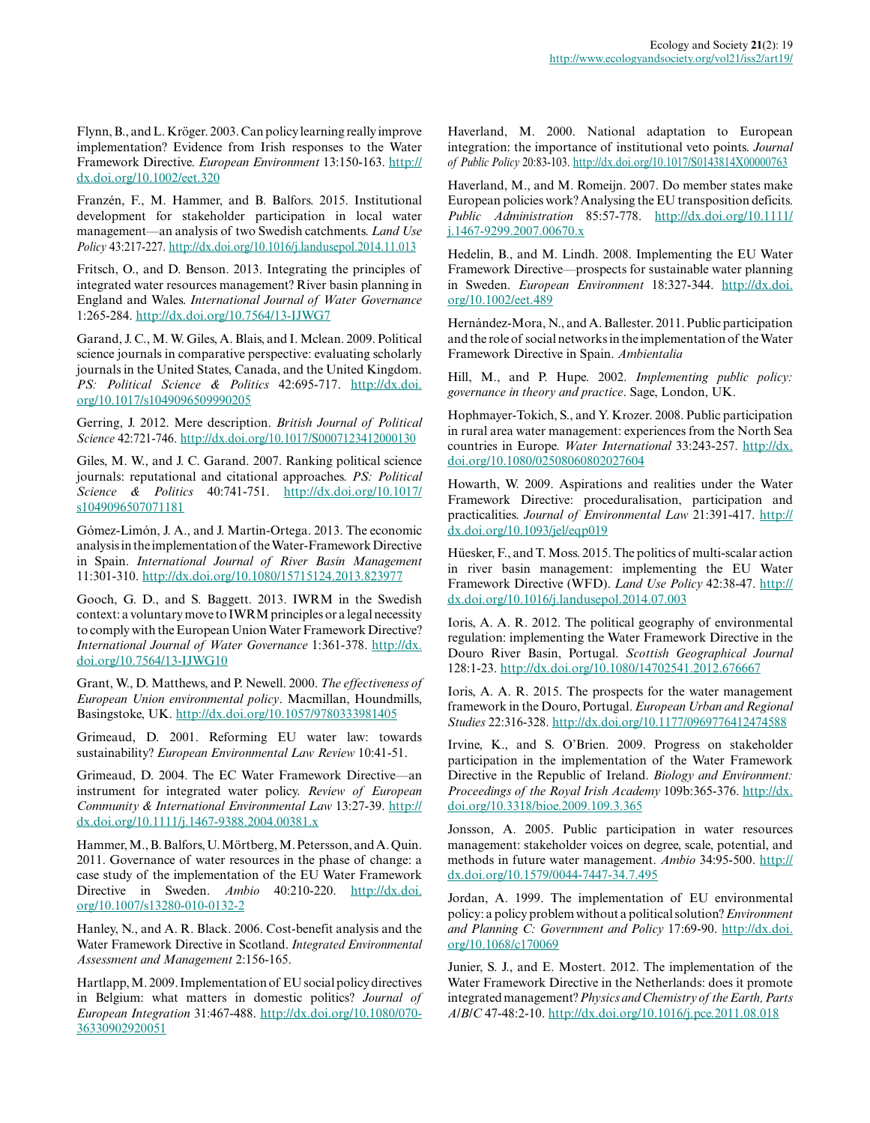Flynn, B., and L. Kröger. 2003. Can policy learning really improve implementation? Evidence from Irish responses to the Water Framework Directive. *European Environment* 13:150-163. [http://](http://dx.doi.org/10.1002%2Feet.320) [dx.doi.org/10.1002/eet.320](http://dx.doi.org/10.1002%2Feet.320) 

Franzén, F., M. Hammer, and B. Balfors. 2015. Institutional development for stakeholder participation in local water management—an analysis of two Swedish catchments. *Land Use Policy* 43:217-227. [http://dx.doi.org/10.1016/j.landusepol.2014.11.013](http://dx.doi.org/10.1016%2Fj.landusepol.2014.11.013) 

Fritsch, O., and D. Benson. 2013. Integrating the principles of integrated water resources management? River basin planning in England and Wales. *International Journal of Water Governance* 1:265-284. [http://dx.doi.org/10.7564/13-IJWG7](http://dx.doi.org/10.7564%2F13-IJWG7) 

Garand, J. C., M. W. Giles, A. Blais, and I. Mclean. 2009. Political science journals in comparative perspective: evaluating scholarly journals in the United States, Canada, and the United Kingdom. *PS: Political Science & Politics* 42:695-717. [http://dx.doi.](http://dx.doi.org/10.1017%2Fs1049096509990205) [org/10.1017/s1049096509990205](http://dx.doi.org/10.1017%2Fs1049096509990205) 

Gerring, J. 2012. Mere description. *British Journal of Political Science* 42:721-746. [http://dx.doi.org/10.1017/S0007123412000130](http://dx.doi.org/10.1017%2FS0007123412000130) 

Giles, M. W., and J. C. Garand. 2007. Ranking political science journals: reputational and citational approaches. *PS: Political Science & Politics* 40:741-751. [http://dx.doi.org/10.1017/](http://dx.doi.org/10.1017%2Fs1049096507071181) [s1049096507071181](http://dx.doi.org/10.1017%2Fs1049096507071181)

Gómez-Limón, J. A., and J. Martin-Ortega. 2013. The economic analysis in the implementation of the Water-Framework Directive in Spain. *International Journal of River Basin Management* 11:301-310. [http://dx.doi.org/10.1080/15715124.2013.823977](http://dx.doi.org/10.1080%2F15715124.2013.823977)

Gooch, G. D., and S. Baggett. 2013. IWRM in the Swedish context: a voluntary move to IWRM principles or a legal necessity to comply with the European Union Water Framework Directive? *International Journal of Water Governance* 1:361-378. [http://dx.](http://dx.doi.org/10.7564%2F13-IJWG10) [doi.org/10.7564/13-IJWG10](http://dx.doi.org/10.7564%2F13-IJWG10)

Grant, W., D. Matthews, and P. Newell. 2000. *The effectiveness of European Union environmental policy*. Macmillan, Houndmills, Basingstoke, UK. [http://dx.doi.org/10.1057/9780333981405](http://dx.doi.org/10.1057%2F9780333981405)

Grimeaud, D. 2001. Reforming EU water law: towards sustainability? *European Environmental Law Review* 10:41-51.

Grimeaud, D. 2004. The EC Water Framework Directive—an instrument for integrated water policy. *Review of European Community & International Environmental Law* 13:27-39. [http://](http://dx.doi.org/10.1111%2Fj.1467-9388.2004.00381.x) [dx.doi.org/10.1111/j.1467-9388.2004.00381.x](http://dx.doi.org/10.1111%2Fj.1467-9388.2004.00381.x)

Hammer, M., B. Balfors, U. Mörtberg, M. Petersson, and A. Quin. 2011. Governance of water resources in the phase of change: a case study of the implementation of the EU Water Framework Directive in Sweden. *Ambio* 40:210-220. [http://dx.doi.](http://dx.doi.org/10.1007%2Fs13280-010-0132-2) [org/10.1007/s13280-010-0132-2](http://dx.doi.org/10.1007%2Fs13280-010-0132-2)

Hanley, N., and A. R. Black. 2006. Cost-benefit analysis and the Water Framework Directive in Scotland. *Integrated Environmental Assessment and Management* 2:156-165.

Hartlapp, M. 2009. Implementation of EU social policy directives in Belgium: what matters in domestic politics? *Journal of European Integration* 31:467-488. [http://dx.doi.org/10.1080/070](http://dx.doi.org/10.1080%2F07036330902920051) [36330902920051](http://dx.doi.org/10.1080%2F07036330902920051)

Haverland, M. 2000. National adaptation to European integration: the importance of institutional veto points. *Journal of Public Policy* 20:83-103. [http://dx.doi.org/10.1017/S0143814X00000763](http://dx.doi.org/10.1017%2FS0143814X00000763)

Haverland, M., and M. Romeijn. 2007. Do member states make European policies work? Analysing the EU transposition deficits. *Public Administration* 85:57-778. [http://dx.doi.org/10.1111/](http://dx.doi.org/10.1111%2Fj.1467-9299.2007.00670.x) [j.1467-9299.2007.00670.x](http://dx.doi.org/10.1111%2Fj.1467-9299.2007.00670.x)

Hedelin, B., and M. Lindh. 2008. Implementing the EU Water Framework Directive—prospects for sustainable water planning in Sweden. *European Environment* 18:327-344. [http://dx.doi.](http://dx.doi.org/10.1002%2Feet.489) [org/10.1002/eet.489](http://dx.doi.org/10.1002%2Feet.489)

Hernández-Mora, N., and A. Ballester. 2011. Public participation and the role of social networks in the implementation of the Water Framework Directive in Spain. *Ambientalia*

Hill, M., and P. Hupe. 2002. *Implementing public policy: governance in theory and practice*. Sage, London, UK.

Hophmayer-Tokich, S., and Y. Krozer. 2008. Public participation in rural area water management: experiences from the North Sea countries in Europe. *Water International* 33:243-257. [http://dx.](http://dx.doi.org/10.1080%2F02508060802027604) [doi.org/10.1080/02508060802027604](http://dx.doi.org/10.1080%2F02508060802027604) 

Howarth, W. 2009. Aspirations and realities under the Water Framework Directive: proceduralisation, participation and practicalities. *Journal of Environmental Law* 21:391-417. [http://](http://dx.doi.org/10.1093%2Fjel%2Feqp019) [dx.doi.org/10.1093/jel/eqp019](http://dx.doi.org/10.1093%2Fjel%2Feqp019) 

Hüesker, F., and T. Moss. 2015. The politics of multi-scalar action in river basin management: implementing the EU Water Framework Directive (WFD). *Land Use Policy* 42:38-47. [http://](http://dx.doi.org/10.1016%2Fj.landusepol.2014.07.003) [dx.doi.org/10.1016/j.landusepol.2014.07.003](http://dx.doi.org/10.1016%2Fj.landusepol.2014.07.003)

Ioris, A. A. R. 2012. The political geography of environmental regulation: implementing the Water Framework Directive in the Douro River Basin, Portugal. *Scottish Geographical Journal* 128:1-23. [http://dx.doi.org/10.1080/14702541.2012.676667](http://dx.doi.org/10.1080%2F14702541.2012.676667)

Ioris, A. A. R. 2015. The prospects for the water management framework in the Douro, Portugal. *European Urban and Regional Studies* 22:316-328. [http://dx.doi.org/10.1177/0969776412474588](http://dx.doi.org/10.1177%2F0969776412474588) 

Irvine, K., and S. O'Brien. 2009. Progress on stakeholder participation in the implementation of the Water Framework Directive in the Republic of Ireland. *Biology and Environment: Proceedings of the Royal Irish Academy* 109b:365-376. [http://dx.](http://dx.doi.org/10.3318%2Fbioe.2009.109.3.365) [doi.org/10.3318/bioe.2009.109.3.365](http://dx.doi.org/10.3318%2Fbioe.2009.109.3.365)

Jonsson, A. 2005. Public participation in water resources management: stakeholder voices on degree, scale, potential, and methods in future water management. *Ambio* 34:95-500. [http://](http://dx.doi.org/10.1579%2F0044-7447-34.7.495) [dx.doi.org/10.1579/0044-7447-34.7.495](http://dx.doi.org/10.1579%2F0044-7447-34.7.495) 

Jordan, A. 1999. The implementation of EU environmental policy: a policy problem without a political solution? *Environment and Planning C: Government and Policy* 17:69-90. [http://dx.doi.](http://dx.doi.org/10.1068%2Fc170069) [org/10.1068/c170069](http://dx.doi.org/10.1068%2Fc170069)

Junier, S. J., and E. Mostert. 2012. The implementation of the Water Framework Directive in the Netherlands: does it promote integrated management? *Physics and Chemistry of the Earth, Parts A/B/C* 47-48:2-10. [http://dx.doi.org/10.1016/j.pce.2011.08.018](http://dx.doi.org/10.1016%2Fj.pce.2011.08.018)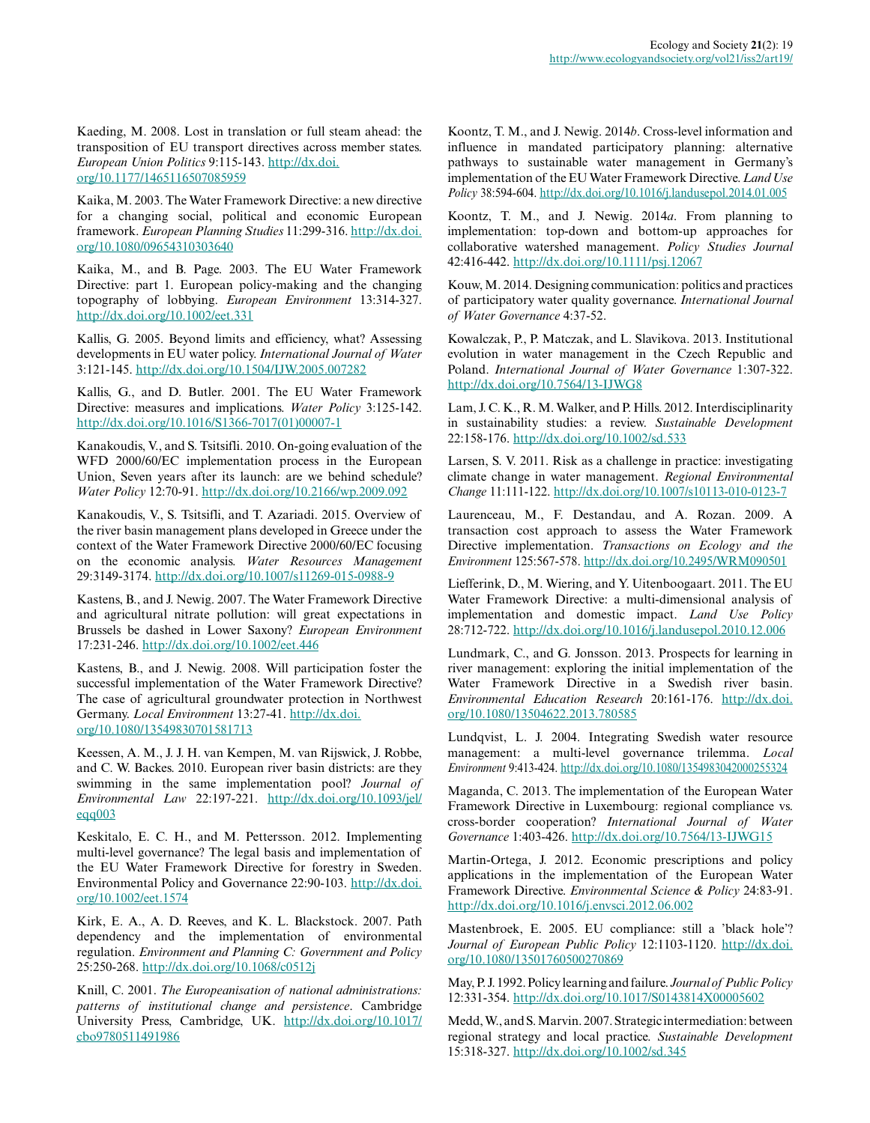Kaeding, M. 2008. Lost in translation or full steam ahead: the transposition of EU transport directives across member states. *European Union Politics* 9:115-143. [http://dx.doi.](http://dx.doi.org/10.1177%2F1465116507085959) [org/10.1177/1465116507085959](http://dx.doi.org/10.1177%2F1465116507085959)

Kaika, M. 2003. The Water Framework Directive: a new directive for a changing social, political and economic European framework. *European Planning Studies* 11:299-316. [http://dx.doi.](http://dx.doi.org/10.1080%2F09654310303640) [org/10.1080/09654310303640](http://dx.doi.org/10.1080%2F09654310303640)

Kaika, M., and B. Page. 2003. The EU Water Framework Directive: part 1. European policy-making and the changing topography of lobbying. *European Environment* 13:314-327. [http://dx.doi.org/10.1002/eet.331](http://dx.doi.org/10.1002%2Feet.331)

Kallis, G. 2005. Beyond limits and efficiency, what? Assessing developments in EU water policy. *International Journal of Water* 3:121-145. [http://dx.doi.org/10.1504/IJW.2005.007282](http://dx.doi.org/10.1504%2FIJW.2005.007282) 

Kallis, G., and D. Butler. 2001. The EU Water Framework Directive: measures and implications. *Water Policy* 3:125-142. [http://dx.doi.org/10.1016/S1366-7017\(01\)00007-1](http://dx.doi.org/10.1016%2FS1366-7017%2801%2900007-1)

Kanakoudis, V., and S. Tsitsifli. 2010. On-going evaluation of the WFD 2000/60/EC implementation process in the European Union, Seven years after its launch: are we behind schedule? *Water Policy* 12:70-91. [http://dx.doi.org/10.2166/wp.2009.092](http://dx.doi.org/10.2166%2Fwp.2009.092) 

Kanakoudis, V., S. Tsitsifli, and T. Azariadi. 2015. Overview of the river basin management plans developed in Greece under the context of the Water Framework Directive 2000/60/EC focusing on the economic analysis. *Water Resources Management* 29:3149-3174. [http://dx.doi.org/10.1007/s11269-015-0988-9](http://dx.doi.org/10.1007%2Fs11269-015-0988-9)

Kastens, B., and J. Newig. 2007. The Water Framework Directive and agricultural nitrate pollution: will great expectations in Brussels be dashed in Lower Saxony? *European Environment* 17:231-246. [http://dx.doi.org/10.1002/eet.446](http://dx.doi.org/10.1002%2Feet.446)

Kastens, B., and J. Newig. 2008. Will participation foster the successful implementation of the Water Framework Directive? The case of agricultural groundwater protection in Northwest Germany. *Local Environment* 13:27-41. [http://dx.doi.](http://dx.doi.org/10.1080%2F13549830701581713) [org/10.1080/13549830701581713](http://dx.doi.org/10.1080%2F13549830701581713) 

Keessen, A. M., J. J. H. van Kempen, M. van Rijswick, J. Robbe, and C. W. Backes. 2010. European river basin districts: are they swimming in the same implementation pool? *Journal of Environmental Law* 22:197-221. [http://dx.doi.org/10.1093/jel/](http://dx.doi.org/10.1093%2Fjel%2Feqq003)  $eqq003$ 

Keskitalo, E. C. H., and M. Pettersson. 2012. Implementing multi-level governance? The legal basis and implementation of the EU Water Framework Directive for forestry in Sweden. Environmental Policy and Governance 22:90-103. [http://dx.doi.](http://dx.doi.org/10.1002%2Feet.1574) [org/10.1002/eet.1574](http://dx.doi.org/10.1002%2Feet.1574) 

Kirk, E. A., A. D. Reeves, and K. L. Blackstock. 2007. Path dependency and the implementation of environmental regulation. *Environment and Planning C: Government and Policy* 25:250-268. [http://dx.doi.org/10.1068/c0512j](http://dx.doi.org/10.1068%2Fc0512j) 

Knill, C. 2001. *The Europeanisation of national administrations: patterns of institutional change and persistence*. Cambridge University Press, Cambridge, UK. [http://dx.doi.org/10.1017/](http://dx.doi.org/10.1017%2Fcbo9780511491986) [cbo9780511491986](http://dx.doi.org/10.1017%2Fcbo9780511491986)

Koontz, T. M., and J. Newig. 2014*b*. Cross-level information and influence in mandated participatory planning: alternative pathways to sustainable water management in Germany's implementation of the EU Water Framework Directive. *Land Use Policy* 38:594-604. [http://dx.doi.org/10.1016/j.landusepol.2014.01.005](http://dx.doi.org/10.1016%2Fj.landusepol.2014.01.005) 

Koontz, T. M., and J. Newig. 2014*a*. From planning to implementation: top-down and bottom-up approaches for collaborative watershed management. *Policy Studies Journal* 42:416-442. [http://dx.doi.org/10.1111/psj.12067](http://dx.doi.org/10.1111%2Fpsj.12067)

Kouw, M. 2014. Designing communication: politics and practices of participatory water quality governance. *International Journal of Water Governance* 4:37-52.

Kowalczak, P., P. Matczak, and L. Slavikova. 2013. Institutional evolution in water management in the Czech Republic and Poland. *International Journal of Water Governance* 1:307-322. [http://dx.doi.org/10.7564/13-IJWG8](http://dx.doi.org/10.7564%2F13-IJWG8) 

Lam, J. C. K., R. M. Walker, and P. Hills. 2012. Interdisciplinarity in sustainability studies: a review. *Sustainable Development* 22:158-176. [http://dx.doi.org/10.1002/sd.533](http://dx.doi.org/10.1002%2Fsd.533) 

Larsen, S. V. 2011. Risk as a challenge in practice: investigating climate change in water management. *Regional Environmental Change* 11:111-122. [http://dx.doi.org/10.1007/s10113-010-0123-7](http://dx.doi.org/10.1007%2Fs10113-010-0123-7) 

Laurenceau, M., F. Destandau, and A. Rozan. 2009. A transaction cost approach to assess the Water Framework Directive implementation. *Transactions on Ecology and the Environment* 125:567-578. [http://dx.doi.org/10.2495/WRM090501](http://dx.doi.org/10.2495%2FWRM090501) 

Liefferink, D., M. Wiering, and Y. Uitenboogaart. 2011. The EU Water Framework Directive: a multi-dimensional analysis of implementation and domestic impact. *Land Use Policy* 28:712-722. [http://dx.doi.org/10.1016/j.landusepol.2010.12.006](http://dx.doi.org/10.1016%2Fj.landusepol.2010.12.006) 

Lundmark, C., and G. Jonsson. 2013. Prospects for learning in river management: exploring the initial implementation of the Water Framework Directive in a Swedish river basin. *Environmental Education Research* 20:161-176. [http://dx.doi.](http://dx.doi.org/10.1080%2F13504622.2013.780585) [org/10.1080/13504622.2013.780585](http://dx.doi.org/10.1080%2F13504622.2013.780585)

Lundqvist, L. J. 2004. Integrating Swedish water resource management: a multi-level governance trilemma. *Local Environment* 9:413-424. [http://dx.doi.org/10.1080/1354983042000255324](http://dx.doi.org/10.1080%2F1354983042000255324)

Maganda, C. 2013. The implementation of the European Water Framework Directive in Luxembourg: regional compliance vs. cross-border cooperation? *International Journal of Water Governance* 1:403-426. [http://dx.doi.org/10.7564/13-IJWG15](http://dx.doi.org/10.7564%2F13-IJWG15) 

Martin-Ortega, J. 2012. Economic prescriptions and policy applications in the implementation of the European Water Framework Directive. *Environmental Science & Policy* 24:83-91. [http://dx.doi.org/10.1016/j.envsci.2012.06.002](http://dx.doi.org/10.1016%2Fj.envsci.2012.06.002) 

Mastenbroek, E. 2005. EU compliance: still a 'black hole'? *Journal of European Public Policy* 12:1103-1120. [http://dx.doi.](http://dx.doi.org/10.1080%2F13501760500270869) [org/10.1080/13501760500270869](http://dx.doi.org/10.1080%2F13501760500270869) 

May, P. J. 1992. Policy learning and failure. *Journal of Public Policy* 12:331-354. [http://dx.doi.org/10.1017/S0143814X00005602](http://dx.doi.org/10.1017%2FS0143814X00005602) 

Medd, W., and S. Marvin. 2007. Strategic intermediation: between regional strategy and local practice. *Sustainable Development* 15:318-327. [http://dx.doi.org/10.1002/sd.345](http://dx.doi.org/10.1002%2Fsd.345)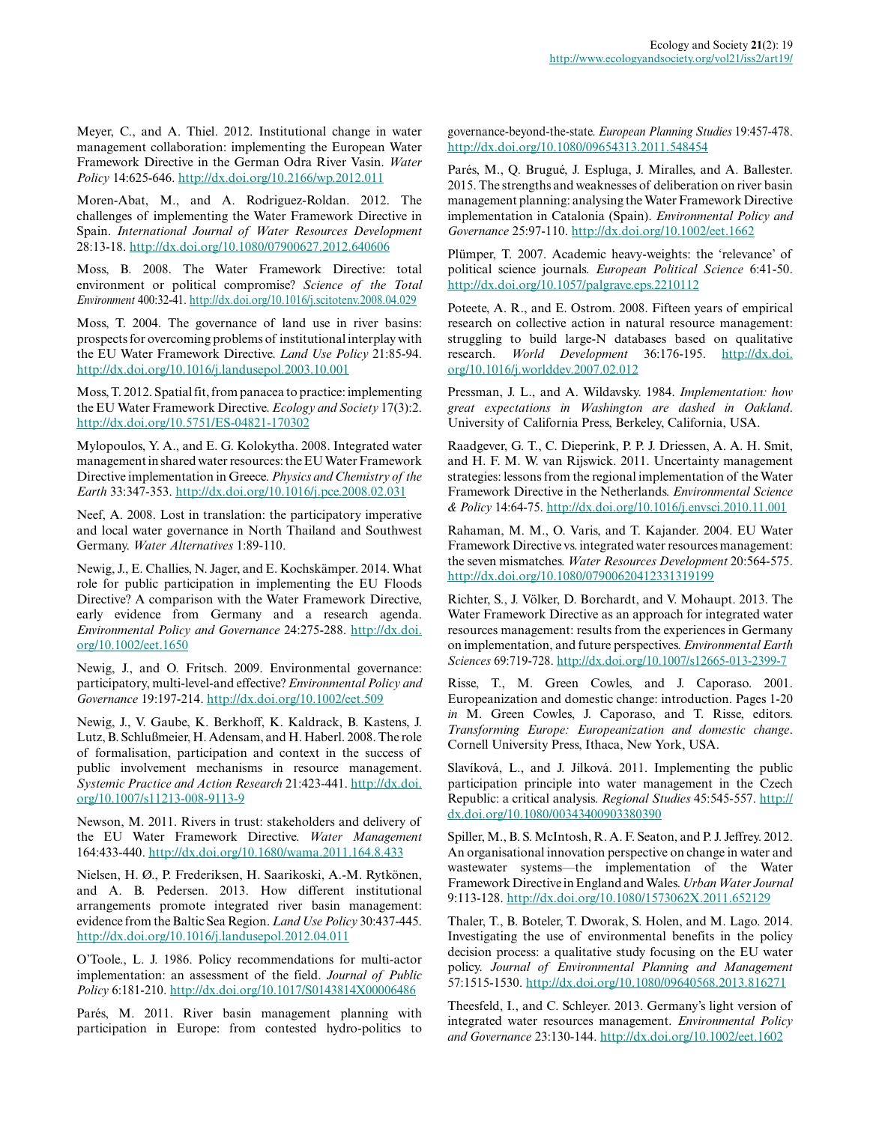Meyer, C., and A. Thiel. 2012. Institutional change in water management collaboration: implementing the European Water Framework Directive in the German Odra River Vasin. *Water Policy* 14:625-646. [http://dx.doi.org/10.2166/wp.2012.011](http://dx.doi.org/10.2166%2Fwp.2012.011)

Moren-Abat, M., and A. Rodriguez-Roldan. 2012. The challenges of implementing the Water Framework Directive in Spain. *International Journal of Water Resources Development* 28:13-18. [http://dx.doi.org/10.1080/07900627.2012.640606](http://dx.doi.org/10.1080%2F07900627.2012.640606)

Moss, B. 2008. The Water Framework Directive: total environment or political compromise? *Science of the Total Environment* 400:32-41. [http://dx.doi.org/10.1016/j.scitotenv.2008.04.029](http://dx.doi.org/10.1016%2Fj.scitotenv.2008.04.029)

Moss, T. 2004. The governance of land use in river basins: prospects for overcoming problems of institutional interplay with the EU Water Framework Directive. *Land Use Policy* 21:85-94. [http://dx.doi.org/10.1016/j.landusepol.2003.10.001](http://dx.doi.org/10.1016%2Fj.landusepol.2003.10.001) 

Moss, T. 2012. Spatial fit, from panacea to practice: implementing the EU Water Framework Directive. *Ecology and Society* 17(3):2. [http://dx.doi.org/10.5751/ES-04821-170302](http://dx.doi.org/10.5751%2FES-04821-170302) 

Mylopoulos, Y. A., and E. G. Kolokytha. 2008. Integrated water management in shared water resources: the EU Water Framework Directive implementation in Greece. *Physics and Chemistry of the Earth* 33:347-353. [http://dx.doi.org/10.1016/j.pce.2008.02.031](http://dx.doi.org/10.1016%2Fj.pce.2008.02.031) 

Neef, A. 2008. Lost in translation: the participatory imperative and local water governance in North Thailand and Southwest Germany. *Water Alternatives* 1:89-110.

Newig, J., E. Challies, N. Jager, and E. Kochskämper. 2014. What role for public participation in implementing the EU Floods Directive? A comparison with the Water Framework Directive, early evidence from Germany and a research agenda. *Environmental Policy and Governance* 24:275-288. [http://dx.doi.](http://dx.doi.org/10.1002%2Feet.1650) [org/10.1002/eet.1650](http://dx.doi.org/10.1002%2Feet.1650) 

Newig, J., and O. Fritsch. 2009. Environmental governance: participatory, multi-level-and effective? *Environmental Policy and Governance* 19:197-214. [http://dx.doi.org/10.1002/eet.509](http://dx.doi.org/10.1002%2Feet.509) 

Newig, J., V. Gaube, K. Berkhoff, K. Kaldrack, B. Kastens, J. Lutz, B. Schlußmeier, H. Adensam, and H. Haberl. 2008. The role of formalisation, participation and context in the success of public involvement mechanisms in resource management. *Systemic Practice and Action Research* 21:423-441. [http://dx.doi.](http://dx.doi.org/10.1007%2Fs11213-008-9113-9) [org/10.1007/s11213-008-9113-9](http://dx.doi.org/10.1007%2Fs11213-008-9113-9)

Newson, M. 2011. Rivers in trust: stakeholders and delivery of the EU Water Framework Directive. *Water Management* 164:433-440. [http://dx.doi.org/10.1680/wama.2011.164.8.433](http://dx.doi.org/10.1680%2Fwama.2011.164.8.433) 

Nielsen, H. Ø., P. Frederiksen, H. Saarikoski, A.-M. Rytkönen, and A. B. Pedersen. 2013. How different institutional arrangements promote integrated river basin management: evidence from the Baltic Sea Region. *Land Use Policy* 30:437-445. [http://dx.doi.org/10.1016/j.landusepol.2012.04.011](http://dx.doi.org/10.1016%2Fj.landusepol.2012.04.011) 

O'Toole., L. J. 1986. Policy recommendations for multi-actor implementation: an assessment of the field. *Journal of Public Policy* 6:181-210. [http://dx.doi.org/10.1017/S0143814X00006486](http://dx.doi.org/10.1017%2FS0143814X00006486) 

Parés, M. 2011. River basin management planning with participation in Europe: from contested hydro-politics to governance-beyond-the-state. *European Planning Studies* 19:457-478. [http://dx.doi.org/10.1080/09654313.2011.548454](http://dx.doi.org/10.1080%2F09654313.2011.548454)

Parés, M., Q. Brugué, J. Espluga, J. Miralles, and A. Ballester. 2015. The strengths and weaknesses of deliberation on river basin management planning: analysing the Water Framework Directive implementation in Catalonia (Spain). *Environmental Policy and Governance* 25:97-110. [http://dx.doi.org/10.1002/eet.1662](http://dx.doi.org/10.1002%2Feet.1662) 

Plümper, T. 2007. Academic heavy-weights: the 'relevance' of political science journals. *European Political Science* 6:41-50. [http://dx.doi.org/10.1057/palgrave.eps.2210112](http://dx.doi.org/10.1057%2Fpalgrave.eps.2210112) 

Poteete, A. R., and E. Ostrom. 2008. Fifteen years of empirical research on collective action in natural resource management: struggling to build large-N databases based on qualitative research. *World Development* 36:176-195. [http://dx.doi.](http://dx.doi.org/10.1016%2Fj.worlddev.2007.02.012) [org/10.1016/j.worlddev.2007.02.012](http://dx.doi.org/10.1016%2Fj.worlddev.2007.02.012)

Pressman, J. L., and A. Wildavsky. 1984. *Implementation: how great expectations in Washington are dashed in Oakland*. University of California Press, Berkeley, California, USA.

Raadgever, G. T., C. Dieperink, P. P. J. Driessen, A. A. H. Smit, and H. F. M. W. van Rijswick. 2011. Uncertainty management strategies: lessons from the regional implementation of the Water Framework Directive in the Netherlands. *Environmental Science & Policy* 14:64-75. [http://dx.doi.org/10.1016/j.envsci.2010.11.001](http://dx.doi.org/10.1016%2Fj.envsci.2010.11.001) 

Rahaman, M. M., O. Varis, and T. Kajander. 2004. EU Water Framework Directive vs. integrated water resources management: the seven mismatches. *Water Resources Development* 20:564-575. [http://dx.doi.org/10.1080/07900620412331319199](http://dx.doi.org/10.1080%2F07900620412331319199)

Richter, S., J. Völker, D. Borchardt, and V. Mohaupt. 2013. The Water Framework Directive as an approach for integrated water resources management: results from the experiences in Germany on implementation, and future perspectives. *Environmental Earth Sciences* 69:719-728. [http://dx.doi.org/10.1007/s12665-013-2399-7](http://dx.doi.org/10.1007%2Fs12665-013-2399-7) 

Risse, T., M. Green Cowles, and J. Caporaso. 2001. Europeanization and domestic change: introduction. Pages 1-20 *in* M. Green Cowles, J. Caporaso, and T. Risse, editors. *Transforming Europe: Europeanization and domestic change*. Cornell University Press, Ithaca, New York, USA.

Slavíková, L., and J. Jílková. 2011. Implementing the public participation principle into water management in the Czech Republic: a critical analysis. *Regional Studies* 45:545-557. [http://](http://dx.doi.org/10.1080%2F00343400903380390) [dx.doi.org/10.1080/00343400903380390](http://dx.doi.org/10.1080%2F00343400903380390)

Spiller, M., B. S. McIntosh, R. A. F. Seaton, and P. J. Jeffrey. 2012. An organisational innovation perspective on change in water and wastewater systems—the implementation of the Water Framework Directive in England and Wales. *Urban Water Journal* 9:113-128. [http://dx.doi.org/10.1080/1573062X.2011.652129](http://dx.doi.org/10.1080%2F1573062X.2011.652129)

Thaler, T., B. Boteler, T. Dworak, S. Holen, and M. Lago. 2014. Investigating the use of environmental benefits in the policy decision process: a qualitative study focusing on the EU water policy. *Journal of Environmental Planning and Management* 57:1515-1530. [http://dx.doi.org/10.1080/09640568.2013.816271](http://dx.doi.org/10.1080%2F09640568.2013.816271)

Theesfeld, I., and C. Schleyer. 2013. Germany's light version of integrated water resources management. *Environmental Policy and Governance* 23:130-144. [http://dx.doi.org/10.1002/eet.1602](http://dx.doi.org/10.1002%2Feet.1602)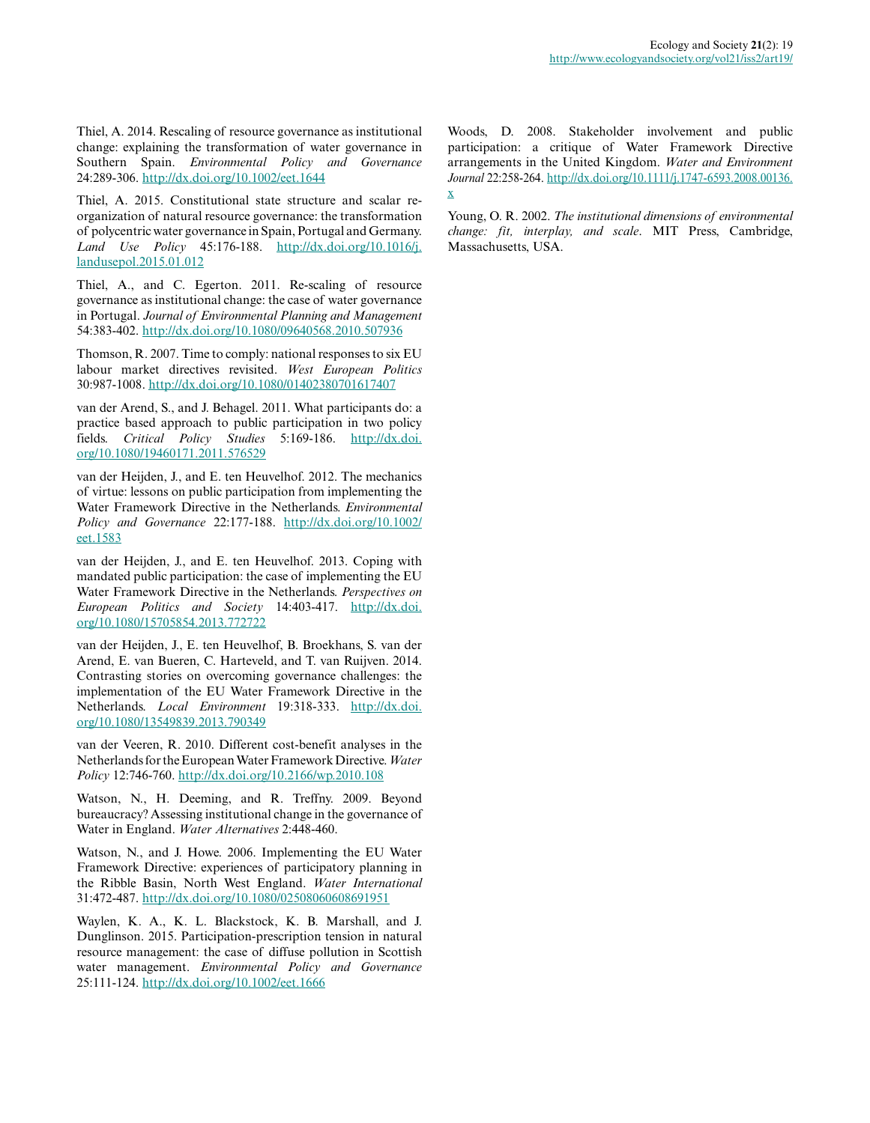Thiel, A. 2014. Rescaling of resource governance as institutional change: explaining the transformation of water governance in Southern Spain. *Environmental Policy and Governance* 24:289-306. [http://dx.doi.org/10.1002/eet.1644](http://dx.doi.org/10.1002%2Feet.1644) 

Thiel, A. 2015. Constitutional state structure and scalar reorganization of natural resource governance: the transformation of polycentric water governance in Spain, Portugal and Germany. *Land Use Policy* 45:176-188. [http://dx.doi.org/10.1016/j.](http://dx.doi.org/10.1016%2Fj.landusepol.2015.01.012) [landusepol.2015.01.012](http://dx.doi.org/10.1016%2Fj.landusepol.2015.01.012)

Thiel, A., and C. Egerton. 2011. Re-scaling of resource governance as institutional change: the case of water governance in Portugal. *Journal of Environmental Planning and Management* 54:383-402. [http://dx.doi.org/10.1080/09640568.2010.507936](http://dx.doi.org/10.1080%2F09640568.2010.507936)

Thomson, R. 2007. Time to comply: national responses to six EU labour market directives revisited. *West European Politics* 30:987-1008. [http://dx.doi.org/10.1080/01402380701617407](http://dx.doi.org/10.1080%2F01402380701617407)

van der Arend, S., and J. Behagel. 2011. What participants do: a practice based approach to public participation in two policy fields. *Critical Policy Studies* 5:169-186. [http://dx.doi.](http://dx.doi.org/10.1080%2F19460171.2011.576529) [org/10.1080/19460171.2011.576529](http://dx.doi.org/10.1080%2F19460171.2011.576529)

van der Heijden, J., and E. ten Heuvelhof. 2012. The mechanics of virtue: lessons on public participation from implementing the Water Framework Directive in the Netherlands. *Environmental Policy and Governance* 22:177-188. [http://dx.doi.org/10.1002/](http://dx.doi.org/10.1002%2Feet.1583) [eet.1583](http://dx.doi.org/10.1002%2Feet.1583)

van der Heijden, J., and E. ten Heuvelhof. 2013. Coping with mandated public participation: the case of implementing the EU Water Framework Directive in the Netherlands. *Perspectives on European Politics and Society* 14:403-417. [http://dx.doi.](http://dx.doi.org/10.1080%2F15705854.2013.772722) [org/10.1080/15705854.2013.772722](http://dx.doi.org/10.1080%2F15705854.2013.772722)

van der Heijden, J., E. ten Heuvelhof, B. Broekhans, S. van der Arend, E. van Bueren, C. Harteveld, and T. van Ruijven. 2014. Contrasting stories on overcoming governance challenges: the implementation of the EU Water Framework Directive in the Netherlands. *Local Environment* 19:318-333. [http://dx.doi.](http://dx.doi.org/10.1080%2F13549839.2013.790349) [org/10.1080/13549839.2013.790349](http://dx.doi.org/10.1080%2F13549839.2013.790349)

van der Veeren, R. 2010. Different cost-benefit analyses in the Netherlands for the European Water Framework Directive. *Water Policy* 12:746-760. [http://dx.doi.org/10.2166/wp.2010.108](http://dx.doi.org/10.2166%2Fwp.2010.108)

Watson, N., H. Deeming, and R. Treffny. 2009. Beyond bureaucracy? Assessing institutional change in the governance of Water in England. *Water Alternatives* 2:448-460.

Watson, N., and J. Howe. 2006. Implementing the EU Water Framework Directive: experiences of participatory planning in the Ribble Basin, North West England. *Water International* 31:472-487. [http://dx.doi.org/10.1080/02508060608691951](http://dx.doi.org/10.1080%2F02508060608691951) 

Waylen, K. A., K. L. Blackstock, K. B. Marshall, and J. Dunglinson. 2015. Participation-prescription tension in natural resource management: the case of diffuse pollution in Scottish water management. *Environmental Policy and Governance* 25:111-124. [http://dx.doi.org/10.1002/eet.1666](http://dx.doi.org/10.1002%2Feet.1666) 

Woods, D. 2008. Stakeholder involvement and public participation: a critique of Water Framework Directive arrangements in the United Kingdom. *Water and Environment Journal* 22:258-264. [http://dx.doi.org/10.1111/j.1747-6593.2008.00136.](http://dx.doi.org/10.1111%2Fj.1747-6593.2008.00136.x) [x](http://dx.doi.org/10.1111%2Fj.1747-6593.2008.00136.x) 

Young, O. R. 2002. *The institutional dimensions of environmental change: fit, interplay, and scale*. MIT Press, Cambridge, Massachusetts, USA.